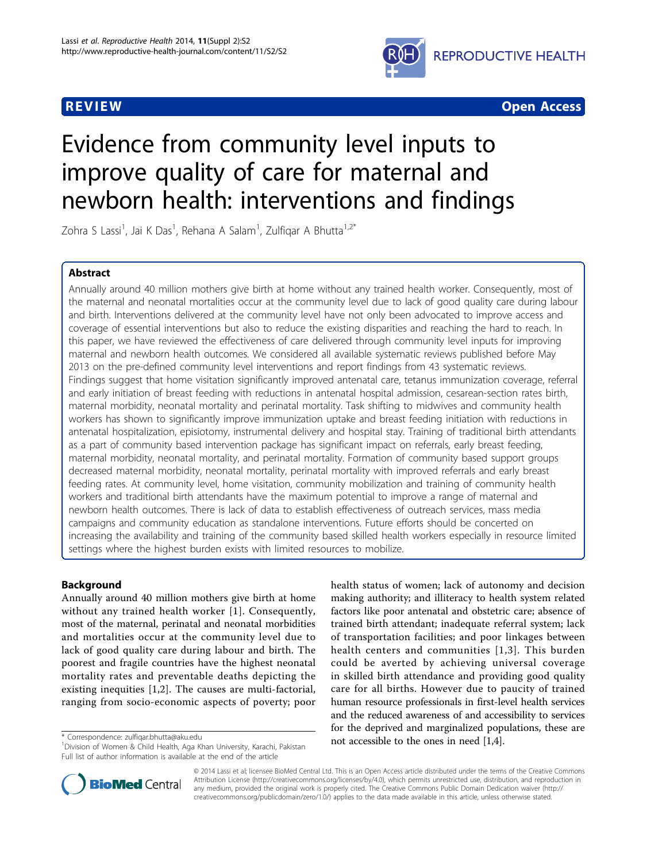

**REVIEW CONTROL** CONTROL CONTROL CONTROL CONTROL CONTROL CONTROL CONTROL CONTROL CONTROL CONTROL CONTROL CONTROL CONTROL CONTROL CONTROL CONTROL CONTROL CONTROL CONTROL CONTROL CONTROL CONTROL CONTROL CONTROL CONTROL CONTR

# Evidence from community level inputs to improve quality of care for maternal and newborn health: interventions and findings

Zohra S Lassi<sup>1</sup>, Jai K Das<sup>1</sup>, Rehana A Salam<sup>1</sup>, Zulfiqar A Bhutta<sup>1,2\*</sup>

# Abstract

Annually around 40 million mothers give birth at home without any trained health worker. Consequently, most of the maternal and neonatal mortalities occur at the community level due to lack of good quality care during labour and birth. Interventions delivered at the community level have not only been advocated to improve access and coverage of essential interventions but also to reduce the existing disparities and reaching the hard to reach. In this paper, we have reviewed the effectiveness of care delivered through community level inputs for improving maternal and newborn health outcomes. We considered all available systematic reviews published before May 2013 on the pre-defined community level interventions and report findings from 43 systematic reviews. Findings suggest that home visitation significantly improved antenatal care, tetanus immunization coverage, referral and early initiation of breast feeding with reductions in antenatal hospital admission, cesarean-section rates birth, maternal morbidity, neonatal mortality and perinatal mortality. Task shifting to midwives and community health workers has shown to significantly improve immunization uptake and breast feeding initiation with reductions in antenatal hospitalization, episiotomy, instrumental delivery and hospital stay. Training of traditional birth attendants as a part of community based intervention package has significant impact on referrals, early breast feeding, maternal morbidity, neonatal mortality, and perinatal mortality. Formation of community based support groups decreased maternal morbidity, neonatal mortality, perinatal mortality with improved referrals and early breast feeding rates. At community level, home visitation, community mobilization and training of community health workers and traditional birth attendants have the maximum potential to improve a range of maternal and newborn health outcomes. There is lack of data to establish effectiveness of outreach services, mass media campaigns and community education as standalone interventions. Future efforts should be concerted on increasing the availability and training of the community based skilled health workers especially in resource limited settings where the highest burden exists with limited resources to mobilize.

# Background

Annually around 40 million mothers give birth at home without any trained health worker [[1\]](#page-17-0). Consequently, most of the maternal, perinatal and neonatal morbidities and mortalities occur at the community level due to lack of good quality care during labour and birth. The poorest and fragile countries have the highest neonatal mortality rates and preventable deaths depicting the existing inequities [[1,2](#page-17-0)]. The causes are multi-factorial, ranging from socio-economic aspects of poverty; poor

health status of women; lack of autonomy and decision making authority; and illiteracy to health system related factors like poor antenatal and obstetric care; absence of trained birth attendant; inadequate referral system; lack of transportation facilities; and poor linkages between health centers and communities [[1,3\]](#page-17-0). This burden could be averted by achieving universal coverage in skilled birth attendance and providing good quality care for all births. However due to paucity of trained human resource professionals in first-level health services and the reduced awareness of and accessibility to services for the deprived and marginalized populations, these are \* Correspondence: [zulfiqar.bhutta@aku.edu](mailto:zulfiqar.bhutta@aku.edu)<br>https://www.edu/baku.edu/baku.edu/baku.edu/baku.edu/baku.edu/baku.edu/baku.edu/baku.edu/baku.edu/baku.edu/baku



© 2014 Lassi et al; licensee BioMed Central Ltd. This is an Open Access article distributed under the terms of the Creative Commons Attribution License [\(http://creativecommons.org/licenses/by/4.0](http://creativecommons.org/licenses/by/4.0)), which permits unrestricted use, distribution, and reproduction in any medium, provided the original work is properly cited. The Creative Commons Public Domain Dedication waiver [\(http://](http://creativecommons.org/publicdomain/zero/1.0/) [creativecommons.org/publicdomain/zero/1.0/](http://creativecommons.org/publicdomain/zero/1.0/)) applies to the data made available in this article, unless otherwise stated.

<sup>&</sup>lt;sup>1</sup> Division of Women & Child Health, Aga Khan University, Karachi, Pakistan Full list of author information is available at the end of the article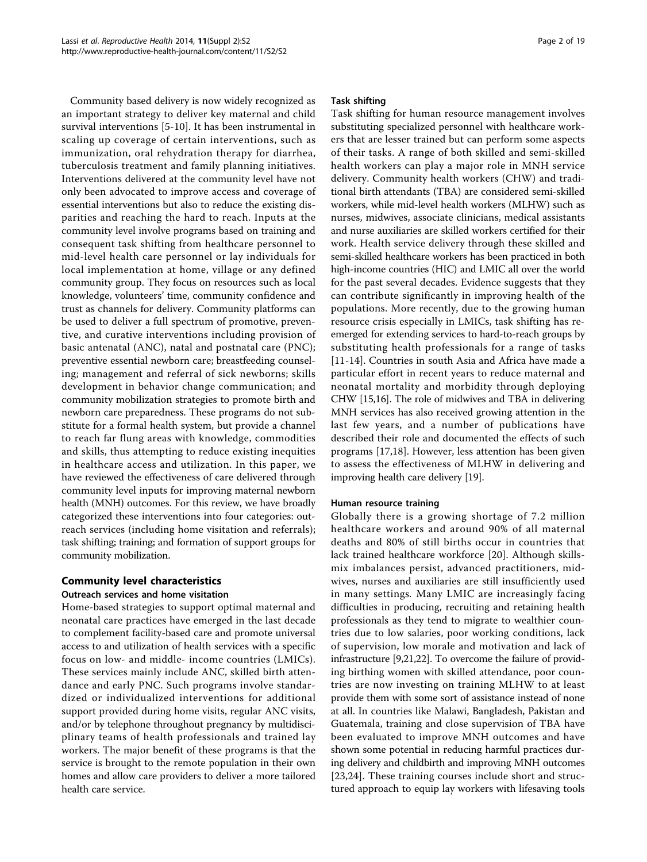Community based delivery is now widely recognized as an important strategy to deliver key maternal and child survival interventions [[5-10](#page-17-0)]. It has been instrumental in scaling up coverage of certain interventions, such as immunization, oral rehydration therapy for diarrhea, tuberculosis treatment and family planning initiatives. Interventions delivered at the community level have not only been advocated to improve access and coverage of essential interventions but also to reduce the existing disparities and reaching the hard to reach. Inputs at the community level involve programs based on training and consequent task shifting from healthcare personnel to mid-level health care personnel or lay individuals for local implementation at home, village or any defined community group. They focus on resources such as local knowledge, volunteers' time, community confidence and trust as channels for delivery. Community platforms can be used to deliver a full spectrum of promotive, preventive, and curative interventions including provision of basic antenatal (ANC), natal and postnatal care (PNC); preventive essential newborn care; breastfeeding counseling; management and referral of sick newborns; skills development in behavior change communication; and community mobilization strategies to promote birth and newborn care preparedness. These programs do not substitute for a formal health system, but provide a channel to reach far flung areas with knowledge, commodities and skills, thus attempting to reduce existing inequities in healthcare access and utilization. In this paper, we have reviewed the effectiveness of care delivered through community level inputs for improving maternal newborn health (MNH) outcomes. For this review, we have broadly categorized these interventions into four categories: outreach services (including home visitation and referrals); task shifting; training; and formation of support groups for community mobilization.

# Community level characteristics

# Outreach services and home visitation

Home-based strategies to support optimal maternal and neonatal care practices have emerged in the last decade to complement facility-based care and promote universal access to and utilization of health services with a specific focus on low- and middle- income countries (LMICs). These services mainly include ANC, skilled birth attendance and early PNC. Such programs involve standardized or individualized interventions for additional support provided during home visits, regular ANC visits, and/or by telephone throughout pregnancy by multidisciplinary teams of health professionals and trained lay workers. The major benefit of these programs is that the service is brought to the remote population in their own homes and allow care providers to deliver a more tailored health care service.

# Task shifting

Task shifting for human resource management involves substituting specialized personnel with healthcare workers that are lesser trained but can perform some aspects of their tasks. A range of both skilled and semi-skilled health workers can play a major role in MNH service delivery. Community health workers (CHW) and traditional birth attendants (TBA) are considered semi-skilled workers, while mid-level health workers (MLHW) such as nurses, midwives, associate clinicians, medical assistants and nurse auxiliaries are skilled workers certified for their work. Health service delivery through these skilled and semi-skilled healthcare workers has been practiced in both high-income countries (HIC) and LMIC all over the world for the past several decades. Evidence suggests that they can contribute significantly in improving health of the populations. More recently, due to the growing human resource crisis especially in LMICs, task shifting has reemerged for extending services to hard-to-reach groups by substituting health professionals for a range of tasks [[11-14](#page-17-0)]. Countries in south Asia and Africa have made a particular effort in recent years to reduce maternal and neonatal mortality and morbidity through deploying CHW [\[15,16](#page-17-0)]. The role of midwives and TBA in delivering MNH services has also received growing attention in the last few years, and a number of publications have described their role and documented the effects of such programs [[17](#page-17-0),[18](#page-17-0)]. However, less attention has been given to assess the effectiveness of MLHW in delivering and improving health care delivery [\[19\]](#page-17-0).

#### Human resource training

Globally there is a growing shortage of 7.2 million healthcare workers and around 90% of all maternal deaths and 80% of still births occur in countries that lack trained healthcare workforce [[20\]](#page-17-0). Although skillsmix imbalances persist, advanced practitioners, midwives, nurses and auxiliaries are still insufficiently used in many settings. Many LMIC are increasingly facing difficulties in producing, recruiting and retaining health professionals as they tend to migrate to wealthier countries due to low salaries, poor working conditions, lack of supervision, low morale and motivation and lack of infrastructure [[9](#page-17-0),[21,22\]](#page-17-0). To overcome the failure of providing birthing women with skilled attendance, poor countries are now investing on training MLHW to at least provide them with some sort of assistance instead of none at all. In countries like Malawi, Bangladesh, Pakistan and Guatemala, training and close supervision of TBA have been evaluated to improve MNH outcomes and have shown some potential in reducing harmful practices during delivery and childbirth and improving MNH outcomes [[23,24](#page-17-0)]. These training courses include short and structured approach to equip lay workers with lifesaving tools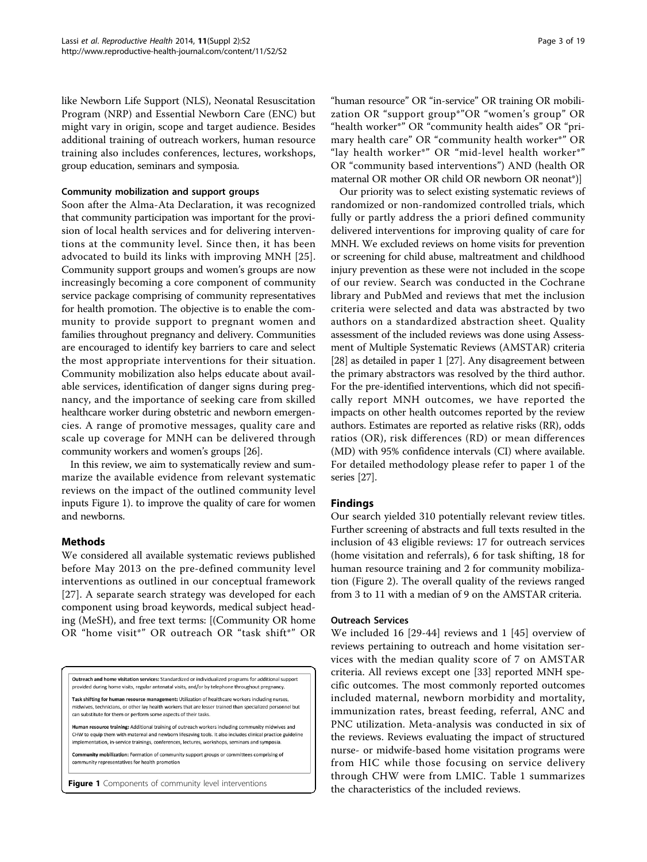like Newborn Life Support (NLS), Neonatal Resuscitation Program (NRP) and Essential Newborn Care (ENC) but might vary in origin, scope and target audience. Besides additional training of outreach workers, human resource training also includes conferences, lectures, workshops, group education, seminars and symposia.

### Community mobilization and support groups

Soon after the Alma-Ata Declaration, it was recognized that community participation was important for the provision of local health services and for delivering interventions at the community level. Since then, it has been advocated to build its links with improving MNH [[25](#page-17-0)]. Community support groups and women's groups are now increasingly becoming a core component of community service package comprising of community representatives for health promotion. The objective is to enable the community to provide support to pregnant women and families throughout pregnancy and delivery. Communities are encouraged to identify key barriers to care and select the most appropriate interventions for their situation. Community mobilization also helps educate about available services, identification of danger signs during pregnancy, and the importance of seeking care from skilled healthcare worker during obstetric and newborn emergencies. A range of promotive messages, quality care and scale up coverage for MNH can be delivered through community workers and women's groups [\[26\]](#page-17-0).

In this review, we aim to systematically review and summarize the available evidence from relevant systematic reviews on the impact of the outlined community level inputs Figure 1). to improve the quality of care for women and newborns.

# Methods

We considered all available systematic reviews published before May 2013 on the pre-defined community level interventions as outlined in our conceptual framework [[27](#page-17-0)]. A separate search strategy was developed for each component using broad keywords, medical subject heading (MeSH), and free text terms: [(Community OR home OR "home visit\*" OR outreach OR "task shift\*" OR

| Outreach and home visitation services: Standardized or individualized programs for additional support<br>provided during home visits, regular antenatal visits, and/or by telephone throughout pregnancy.                                                                                                         |
|-------------------------------------------------------------------------------------------------------------------------------------------------------------------------------------------------------------------------------------------------------------------------------------------------------------------|
| Task shifting for human resource management: Utilization of healthcare workers including nurses.<br>midwives, technicians, or other lay health workers that are lesser trained than specialized personnel but<br>can substitute for them or perform some aspects of their tasks.                                  |
| Human resource training: Additional training of outreach workers including community midwives and<br>CHW to equip them with maternal and newborn lifesaving tools. It also includes clinical practice guideline<br>implementation, in-service trainings, conferences, lectures, workshops, seminars and symposia. |
| Community mobilization: Formation of community support groups or committees comprising of<br>community representatives for health promotion                                                                                                                                                                       |

"human resource" OR "in-service" OR training OR mobilization OR "support group\*"OR "women's group" OR "health worker\*" OR "community health aides" OR "primary health care" OR "community health worker\*" OR "lay health worker\*" OR "mid-level health worker\*" OR "community based interventions") AND (health OR maternal OR mother OR child OR newborn OR neonat\*)]

Our priority was to select existing systematic reviews of randomized or non-randomized controlled trials, which fully or partly address the a priori defined community delivered interventions for improving quality of care for MNH. We excluded reviews on home visits for prevention or screening for child abuse, maltreatment and childhood injury prevention as these were not included in the scope of our review. Search was conducted in the Cochrane library and PubMed and reviews that met the inclusion criteria were selected and data was abstracted by two authors on a standardized abstraction sheet. Quality assessment of the included reviews was done using Assessment of Multiple Systematic Reviews (AMSTAR) criteria [[28](#page-17-0)] as detailed in paper 1 [[27](#page-17-0)]. Any disagreement between the primary abstractors was resolved by the third author. For the pre-identified interventions, which did not specifically report MNH outcomes, we have reported the impacts on other health outcomes reported by the review authors. Estimates are reported as relative risks (RR), odds ratios (OR), risk differences (RD) or mean differences (MD) with 95% confidence intervals (CI) where available. For detailed methodology please refer to paper 1 of the series [\[27\]](#page-17-0).

# Findings

Our search yielded 310 potentially relevant review titles. Further screening of abstracts and full texts resulted in the inclusion of 43 eligible reviews: 17 for outreach services (home visitation and referrals), 6 for task shifting, 18 for human resource training and 2 for community mobilization (Figure [2](#page-3-0)). The overall quality of the reviews ranged from 3 to 11 with a median of 9 on the AMSTAR criteria.

#### Outreach Services

We included 16 [[29-](#page-17-0)[44](#page-18-0)] reviews and 1 [[45\]](#page-18-0) overview of reviews pertaining to outreach and home visitation services with the median quality score of 7 on AMSTAR criteria. All reviews except one [\[33](#page-17-0)] reported MNH specific outcomes. The most commonly reported outcomes included maternal, newborn morbidity and mortality, immunization rates, breast feeding, referral, ANC and PNC utilization. Meta-analysis was conducted in six of the reviews. Reviews evaluating the impact of structured nurse- or midwife-based home visitation programs were from HIC while those focusing on service delivery through CHW were from LMIC. Table [1](#page-3-0) summarizes Figure 1 Components of community level interventions the characteristics of the included reviews.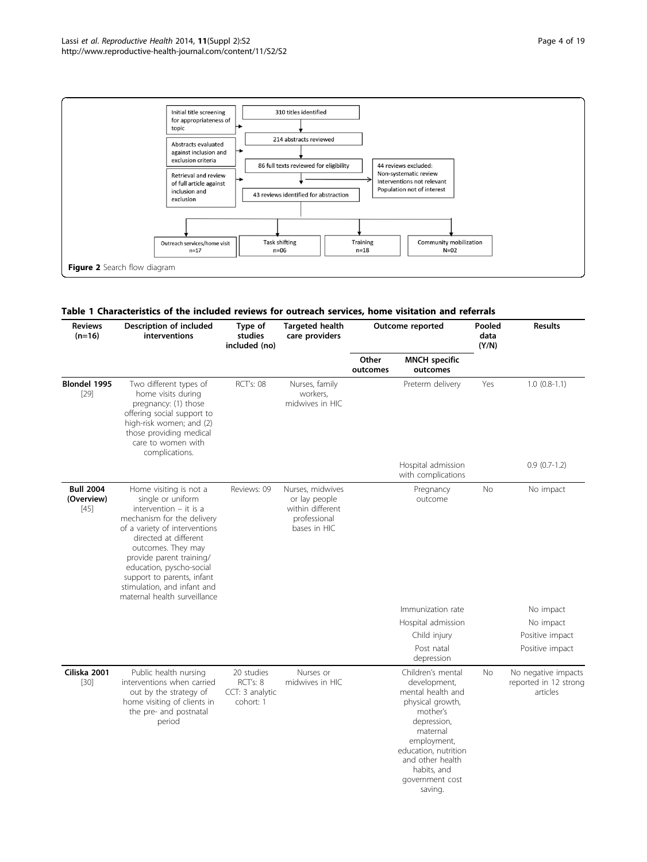<span id="page-3-0"></span>

# Table 1 Characteristics of the included reviews for outreach services, home visitation and referrals

| <b>Reviews</b><br>$(n=16)$               | Description of included<br><b>interventions</b>                                                                                                                                                                                                                                                                                            | Type of<br>studies<br>included (no)                    | <b>Targeted health</b><br>care providers                                              | Outcome reported  |                                                                                                                                                                                                                           | Pooled<br>data<br>(Y/N) | <b>Results</b>                                           |
|------------------------------------------|--------------------------------------------------------------------------------------------------------------------------------------------------------------------------------------------------------------------------------------------------------------------------------------------------------------------------------------------|--------------------------------------------------------|---------------------------------------------------------------------------------------|-------------------|---------------------------------------------------------------------------------------------------------------------------------------------------------------------------------------------------------------------------|-------------------------|----------------------------------------------------------|
|                                          |                                                                                                                                                                                                                                                                                                                                            |                                                        |                                                                                       | Other<br>outcomes | <b>MNCH</b> specific<br>outcomes                                                                                                                                                                                          |                         |                                                          |
| Blondel 1995<br>$[29]$                   | Two different types of<br>home visits during<br>pregnancy: (1) those<br>offering social support to<br>high-risk women; and (2)<br>those providing medical<br>care to women with<br>complications.                                                                                                                                          | <b>RCT's: 08</b>                                       | Nurses, family<br>workers,<br>midwives in HIC                                         |                   | Preterm delivery                                                                                                                                                                                                          | Yes                     | $1.0(0.8-1.1)$                                           |
|                                          |                                                                                                                                                                                                                                                                                                                                            |                                                        |                                                                                       |                   | Hospital admission<br>with complications                                                                                                                                                                                  |                         | $0.9(0.7-1.2)$                                           |
| <b>Bull 2004</b><br>(Overview)<br>$[45]$ | Home visiting is not a<br>single or uniform<br>intervention $-$ it is a<br>mechanism for the delivery<br>of a variety of interventions<br>directed at different<br>outcomes. They may<br>provide parent training/<br>education, pyscho-social<br>support to parents, infant<br>stimulation, and infant and<br>maternal health surveillance | Reviews: 09                                            | Nurses, midwives<br>or lay people<br>within different<br>professional<br>bases in HIC |                   | Pregnancy<br>outcome                                                                                                                                                                                                      | <b>No</b>               | No impact                                                |
|                                          |                                                                                                                                                                                                                                                                                                                                            |                                                        |                                                                                       |                   | Immunization rate                                                                                                                                                                                                         |                         | No impact                                                |
|                                          |                                                                                                                                                                                                                                                                                                                                            |                                                        |                                                                                       |                   | Hospital admission                                                                                                                                                                                                        |                         | No impact                                                |
|                                          |                                                                                                                                                                                                                                                                                                                                            |                                                        |                                                                                       |                   | Child injury                                                                                                                                                                                                              |                         | Positive impact                                          |
|                                          |                                                                                                                                                                                                                                                                                                                                            |                                                        |                                                                                       |                   | Post natal<br>depression                                                                                                                                                                                                  |                         | Positive impact                                          |
| Ciliska 2001<br>$[30]$                   | Public health nursing<br>interventions when carried<br>out by the strategy of<br>home visiting of clients in<br>the pre- and postnatal<br>period                                                                                                                                                                                           | 20 studies<br>RCT's: 8<br>CCT: 3 analytic<br>cohort: 1 | Nurses or<br>midwives in HIC                                                          |                   | Children's mental<br>development.<br>mental health and<br>physical growth,<br>mother's<br>depression,<br>maternal<br>employment,<br>education, nutrition<br>and other health<br>habits, and<br>government cost<br>saving. | <b>No</b>               | No negative impacts<br>reported in 12 strong<br>articles |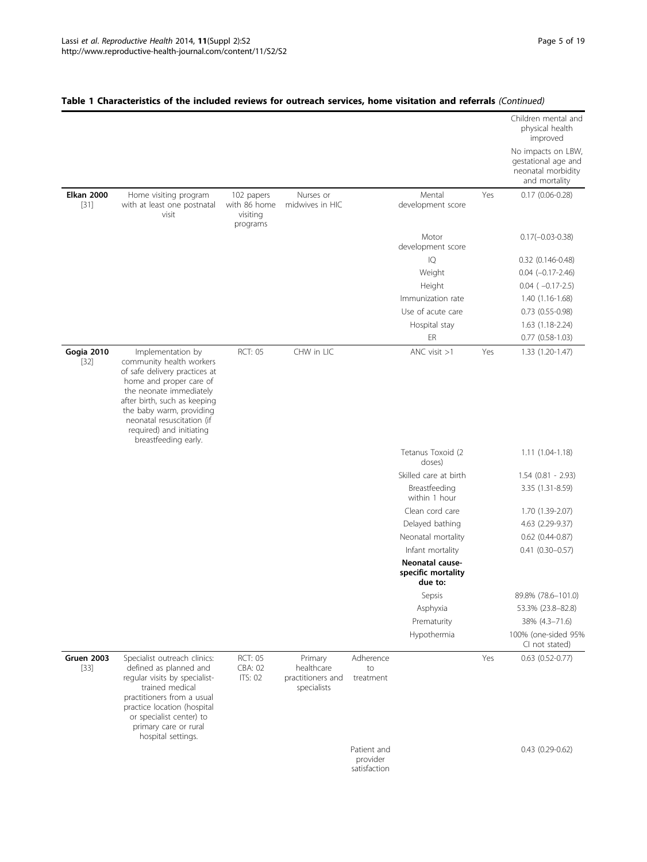|                             |                                                                                                                                                                                                                                                                                    |                                                    |                                                           |                                         |                                                         |     | Children mental and<br>physical health<br>improved                               |
|-----------------------------|------------------------------------------------------------------------------------------------------------------------------------------------------------------------------------------------------------------------------------------------------------------------------------|----------------------------------------------------|-----------------------------------------------------------|-----------------------------------------|---------------------------------------------------------|-----|----------------------------------------------------------------------------------|
|                             |                                                                                                                                                                                                                                                                                    |                                                    |                                                           |                                         |                                                         |     | No impacts on LBW,<br>gestational age and<br>neonatal morbidity<br>and mortality |
| <b>Elkan 2000</b><br>$[31]$ | Home visiting program<br>with at least one postnatal<br>visit                                                                                                                                                                                                                      | 102 papers<br>with 86 home<br>visiting<br>programs | Nurses or<br>midwives in HIC                              |                                         | Mental<br>development score                             | Yes | $0.17(0.06 - 0.28)$                                                              |
|                             |                                                                                                                                                                                                                                                                                    |                                                    |                                                           |                                         | Motor<br>development score                              |     | $0.17(-0.03-0.38)$                                                               |
|                             |                                                                                                                                                                                                                                                                                    |                                                    |                                                           |                                         | IQ                                                      |     | 0.32 (0.146-0.48)                                                                |
|                             |                                                                                                                                                                                                                                                                                    |                                                    |                                                           |                                         | Weight                                                  |     | $0.04 (-0.17 - 2.46)$                                                            |
|                             |                                                                                                                                                                                                                                                                                    |                                                    |                                                           |                                         | Height                                                  |     | $0.04$ ( $-0.17-2.5$ )                                                           |
|                             |                                                                                                                                                                                                                                                                                    |                                                    |                                                           |                                         | Immunization rate                                       |     | 1.40 (1.16-1.68)                                                                 |
|                             |                                                                                                                                                                                                                                                                                    |                                                    |                                                           |                                         | Use of acute care                                       |     | 0.73 (0.55-0.98)                                                                 |
|                             |                                                                                                                                                                                                                                                                                    |                                                    |                                                           |                                         | Hospital stay                                           |     | 1.63 (1.18-2.24)                                                                 |
|                             |                                                                                                                                                                                                                                                                                    |                                                    |                                                           |                                         | ER                                                      |     | $0.77$ $(0.58 - 1.03)$                                                           |
| Gogia 2010<br>$[32]$        | Implementation by<br>community health workers<br>of safe delivery practices at<br>home and proper care of<br>the neonate immediately<br>after birth, such as keeping<br>the baby warm, providing<br>neonatal resuscitation (if<br>required) and initiating<br>breastfeeding early. | <b>RCT: 05</b>                                     | CHW in LIC                                                |                                         | ANC visit $>1$                                          | Yes | 1.33 (1.20-1.47)                                                                 |
|                             |                                                                                                                                                                                                                                                                                    |                                                    |                                                           |                                         | Tetanus Toxoid (2<br>doses)                             |     | $1.11(1.04-1.18)$                                                                |
|                             |                                                                                                                                                                                                                                                                                    |                                                    |                                                           |                                         | Skilled care at birth<br>Breastfeeding<br>within 1 hour |     | $1.54$ (0.81 - 2.93)<br>3.35 (1.31-8.59)                                         |
|                             |                                                                                                                                                                                                                                                                                    |                                                    |                                                           |                                         | Clean cord care                                         |     | 1.70 (1.39-2.07)                                                                 |
|                             |                                                                                                                                                                                                                                                                                    |                                                    |                                                           |                                         | Delayed bathing                                         |     | 4.63 (2.29-9.37)                                                                 |
|                             |                                                                                                                                                                                                                                                                                    |                                                    |                                                           |                                         | Neonatal mortality                                      |     | $0.62$ (0.44-0.87)                                                               |
|                             |                                                                                                                                                                                                                                                                                    |                                                    |                                                           |                                         | Infant mortality                                        |     | $0.41$ $(0.30 - 0.57)$                                                           |
|                             |                                                                                                                                                                                                                                                                                    |                                                    |                                                           |                                         | Neonatal cause-<br>specific mortality<br>due to:        |     |                                                                                  |
|                             |                                                                                                                                                                                                                                                                                    |                                                    |                                                           |                                         | Sepsis                                                  |     | 89.8% (78.6–101.0)                                                               |
|                             |                                                                                                                                                                                                                                                                                    |                                                    |                                                           |                                         | Asphyxia                                                |     | 53.3% (23.8–82.8)                                                                |
|                             |                                                                                                                                                                                                                                                                                    |                                                    |                                                           |                                         | Prematurity                                             |     | 38% (4.3-71.6)                                                                   |
|                             |                                                                                                                                                                                                                                                                                    |                                                    |                                                           |                                         | Hypothermia                                             |     | 100% (one-sided 95%<br>CI not stated)                                            |
| Gruen 2003<br>$[33]$        | Specialist outreach clinics:<br>defined as planned and<br>regular visits by specialist-<br>trained medical<br>practitioners from a usual<br>practice location (hospital<br>or specialist center) to<br>primary care or rural<br>hospital settings.                                 | <b>RCT: 05</b><br>CBA: 02<br><b>ITS: 02</b>        | Primary<br>healthcare<br>practitioners and<br>specialists | Adherence<br>to<br>treatment            |                                                         | Yes | $0.63$ $(0.52 - 0.77)$                                                           |
|                             |                                                                                                                                                                                                                                                                                    |                                                    |                                                           | Patient and<br>provider<br>satisfaction |                                                         |     | $0.43$ $(0.29 - 0.62)$                                                           |

# Table 1 Characteristics of the included reviews for outreach services, home visitation and referrals (Continued)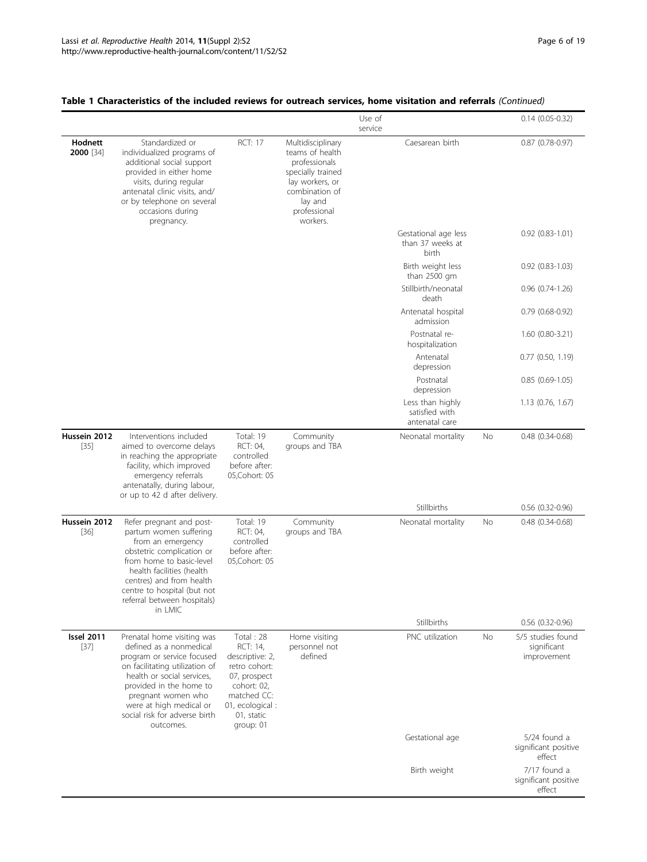|                             |                                                                                                                                                                                                                                                                               |                                                                                                                                                        |                                                                                                                                                        | Use of<br>service                                    |           | $0.14(0.05 - 0.32)$                              |
|-----------------------------|-------------------------------------------------------------------------------------------------------------------------------------------------------------------------------------------------------------------------------------------------------------------------------|--------------------------------------------------------------------------------------------------------------------------------------------------------|--------------------------------------------------------------------------------------------------------------------------------------------------------|------------------------------------------------------|-----------|--------------------------------------------------|
| Hodnett<br>2000 [34]        | Standardized or<br>individualized programs of<br>additional social support<br>provided in either home<br>visits, during regular<br>antenatal clinic visits, and/<br>or by telephone on several<br>occasions during<br>pregnancy.                                              | <b>RCT: 17</b>                                                                                                                                         | Multidisciplinary<br>teams of health<br>professionals<br>specially trained<br>lay workers, or<br>combination of<br>lay and<br>professional<br>workers. | Caesarean birth                                      |           | $0.87$ (0.78-0.97)                               |
|                             |                                                                                                                                                                                                                                                                               |                                                                                                                                                        |                                                                                                                                                        | Gestational age less<br>than 37 weeks at<br>birth    |           | $0.92$ $(0.83 - 1.01)$                           |
|                             |                                                                                                                                                                                                                                                                               |                                                                                                                                                        |                                                                                                                                                        | Birth weight less<br>than 2500 gm                    |           | $0.92$ $(0.83 - 1.03)$                           |
|                             |                                                                                                                                                                                                                                                                               |                                                                                                                                                        |                                                                                                                                                        | Stillbirth/neonatal<br>death                         |           | $0.96$ $(0.74-1.26)$                             |
|                             |                                                                                                                                                                                                                                                                               |                                                                                                                                                        |                                                                                                                                                        | Antenatal hospital<br>admission                      |           | 0.79 (0.68-0.92)                                 |
|                             |                                                                                                                                                                                                                                                                               |                                                                                                                                                        |                                                                                                                                                        | Postnatal re-<br>hospitalization                     |           | $1.60(0.80-3.21)$                                |
|                             |                                                                                                                                                                                                                                                                               |                                                                                                                                                        |                                                                                                                                                        | Antenatal<br>depression                              |           | $0.77$ $(0.50, 1.19)$                            |
|                             |                                                                                                                                                                                                                                                                               |                                                                                                                                                        |                                                                                                                                                        | Postnatal<br>depression                              |           | $0.85(0.69-1.05)$                                |
|                             |                                                                                                                                                                                                                                                                               |                                                                                                                                                        |                                                                                                                                                        | Less than highly<br>satisfied with<br>antenatal care |           | $1.13$ (0.76, 1.67)                              |
| Hussein 2012<br>$[35]$      | Interventions included<br>aimed to overcome delays<br>in reaching the appropriate<br>facility, which improved<br>emergency referrals<br>antenatally, during labour,<br>or up to 42 d after delivery.                                                                          | Total: 19<br>RCT: 04,<br>controlled<br>before after:<br>05, Cohort: 05                                                                                 | Community<br>groups and TBA                                                                                                                            | Neonatal mortality                                   | No        | $0.48$ $(0.34 - 0.68)$                           |
|                             |                                                                                                                                                                                                                                                                               |                                                                                                                                                        |                                                                                                                                                        | Stillbirths                                          |           | $0.56$ $(0.32 - 0.96)$                           |
| Hussein 2012<br>$[36]$      | Refer pregnant and post-<br>partum women suffering<br>from an emergency<br>obstetric complication or<br>from home to basic-level<br>health facilities (health<br>centres) and from health<br>centre to hospital (but not<br>referral between hospitals)<br>in LMIC            | Total: 19<br>RCT: 04,<br>controlled<br>before after:<br>05, Cohort: 05                                                                                 | Community<br>groups and TBA                                                                                                                            | Neonatal mortality                                   | No        | $0.48$ $(0.34 - 0.68)$                           |
|                             |                                                                                                                                                                                                                                                                               |                                                                                                                                                        |                                                                                                                                                        | Stillbirths                                          |           | $0.56$ $(0.32 - 0.96)$                           |
| <b>Issel 2011</b><br>$[37]$ | Prenatal home visiting was<br>defined as a nonmedical<br>program or service focused<br>on facilitating utilization of<br>health or social services,<br>provided in the home to<br>pregnant women who<br>were at high medical or<br>social risk for adverse birth<br>outcomes. | Total: 28<br>RCT: 14,<br>descriptive: 2,<br>retro cohort:<br>07, prospect<br>cohort: 02,<br>matched CC:<br>01, ecological :<br>01, static<br>group: 01 | Home visiting<br>personnel not<br>defined                                                                                                              | PNC utilization                                      | <b>No</b> | 5/5 studies found<br>significant<br>improvement  |
|                             |                                                                                                                                                                                                                                                                               |                                                                                                                                                        |                                                                                                                                                        | Gestational age                                      |           | $5/24$ found a<br>significant positive<br>effect |
|                             |                                                                                                                                                                                                                                                                               |                                                                                                                                                        |                                                                                                                                                        | Birth weight                                         |           | 7/17 found a<br>significant positive<br>effect   |

# Table 1 Characteristics of the included reviews for outreach services, home visitation and referrals (Continued)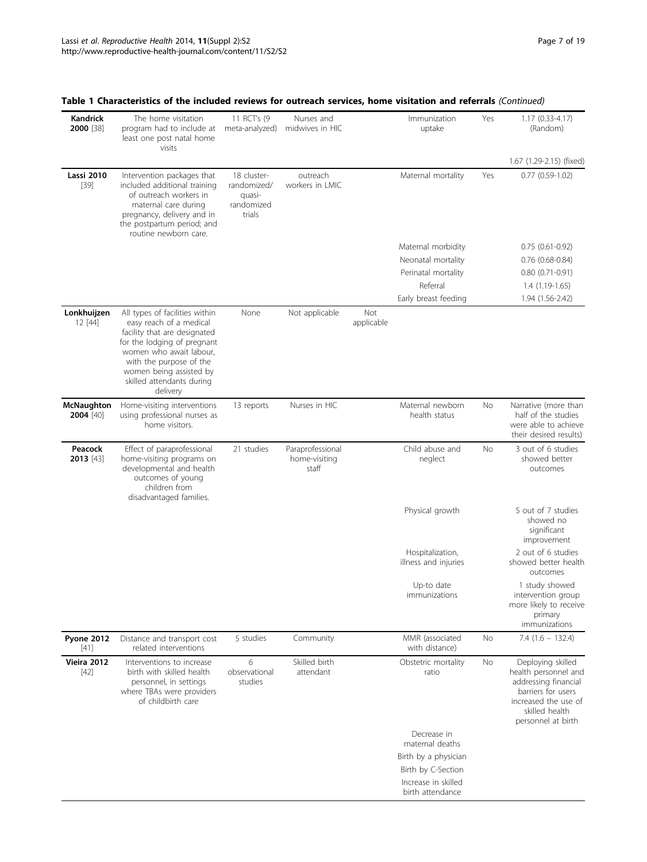| Kandrick<br>2000 [38]   | The home visitation<br>program had to include at<br>least one post natal home<br>visits                                                                                                                                                            | 11 RCT's (9<br>meta-analyzed)                                | Nurses and<br>midwives in HIC              |                   | Immunization<br>uptake                   | Yes       | $1.17(0.33 - 4.17)$<br>(Random)                                                                                                                         |
|-------------------------|----------------------------------------------------------------------------------------------------------------------------------------------------------------------------------------------------------------------------------------------------|--------------------------------------------------------------|--------------------------------------------|-------------------|------------------------------------------|-----------|---------------------------------------------------------------------------------------------------------------------------------------------------------|
|                         |                                                                                                                                                                                                                                                    |                                                              |                                            |                   |                                          |           | 1.67 (1.29-2.15) (fixed)                                                                                                                                |
| Lassi 2010<br>$[39]$    | Intervention packages that<br>included additional training<br>of outreach workers in<br>maternal care during<br>pregnancy, delivery and in<br>the postpartum period; and<br>routine newborn care.                                                  | 18 cluster-<br>randomized/<br>quasi-<br>randomized<br>trials | outreach<br>workers in LMIC                |                   | Maternal mortality                       | Yes       | $0.77$ $(0.59-1.02)$                                                                                                                                    |
|                         |                                                                                                                                                                                                                                                    |                                                              |                                            |                   | Maternal morbidity                       |           | $0.75(0.61-0.92)$                                                                                                                                       |
|                         |                                                                                                                                                                                                                                                    |                                                              |                                            |                   | Neonatal mortality                       |           | $0.76$ (0.68-0.84)                                                                                                                                      |
|                         |                                                                                                                                                                                                                                                    |                                                              |                                            |                   | Perinatal mortality                      |           | $0.80$ $(0.71 - 0.91)$                                                                                                                                  |
|                         |                                                                                                                                                                                                                                                    |                                                              |                                            |                   | Referral                                 |           | $1.4(1.19-1.65)$                                                                                                                                        |
|                         |                                                                                                                                                                                                                                                    |                                                              |                                            |                   | Early breast feeding                     |           | 1.94 (1.56-2.42)                                                                                                                                        |
| Lonkhuijzen<br>12 [44]  | All types of facilities within<br>easy reach of a medical<br>facility that are designated<br>for the lodging of pregnant<br>women who await labour,<br>with the purpose of the<br>women being assisted by<br>skilled attendants during<br>delivery | None                                                         | Not applicable                             | Not<br>applicable |                                          |           |                                                                                                                                                         |
| McNaughton<br>2004 [40] | Home-visiting interventions<br>using professional nurses as<br>home visitors.                                                                                                                                                                      | 13 reports                                                   | Nurses in HIC                              |                   | Maternal newborn<br>health status        | <b>No</b> | Narrative (more than<br>half of the studies<br>were able to achieve<br>their desired results)                                                           |
| Peacock<br>$2013$ [43]  | Effect of paraprofessional<br>home-visiting programs on<br>developmental and health<br>outcomes of young<br>children from<br>disadvantaged families.                                                                                               | 21 studies                                                   | Paraprofessional<br>home-visiting<br>staff |                   | Child abuse and<br>neglect               | <b>No</b> | 3 out of 6 studies<br>showed better<br>outcomes                                                                                                         |
|                         |                                                                                                                                                                                                                                                    |                                                              |                                            |                   | Physical growth                          |           | 5 out of 7 studies<br>showed no<br>significant<br>improvement                                                                                           |
|                         |                                                                                                                                                                                                                                                    |                                                              |                                            |                   | Hospitalization,<br>illness and injuries |           | 2 out of 6 studies<br>showed better health<br>outcomes                                                                                                  |
|                         |                                                                                                                                                                                                                                                    |                                                              |                                            |                   | Up-to date<br>immunizations              |           | 1 study showed<br>intervention group<br>more likely to receive<br>primary<br>immunizations                                                              |
| Pyone 2012<br>$[41]$    | Distance and transport cost<br>related interventions                                                                                                                                                                                               | 5 studies                                                    | Community                                  |                   | MMR (associated<br>with distance)        | No        | $7.4$ (1.6 - 132.4)                                                                                                                                     |
| Vieira 2012<br>$[42]$   | Interventions to increase<br>birth with skilled health<br>personnel, in settings<br>where TBAs were providers<br>of childbirth care                                                                                                                | 6<br>observational<br>studies                                | Skilled birth<br>attendant                 |                   | Obstetric mortality<br>ratio             | No        | Deploying skilled<br>health personnel and<br>addressing financial<br>barriers for users<br>increased the use of<br>skilled health<br>personnel at birth |
|                         |                                                                                                                                                                                                                                                    |                                                              |                                            |                   | Decrease in<br>maternal deaths           |           |                                                                                                                                                         |
|                         |                                                                                                                                                                                                                                                    |                                                              |                                            |                   | Birth by a physician                     |           |                                                                                                                                                         |
|                         |                                                                                                                                                                                                                                                    |                                                              |                                            |                   | Birth by C-Section                       |           |                                                                                                                                                         |
|                         |                                                                                                                                                                                                                                                    |                                                              |                                            |                   | Increase in skilled<br>birth attendance  |           |                                                                                                                                                         |

# Table 1 Characteristics of the included reviews for outreach services, home visitation and referrals (Continued)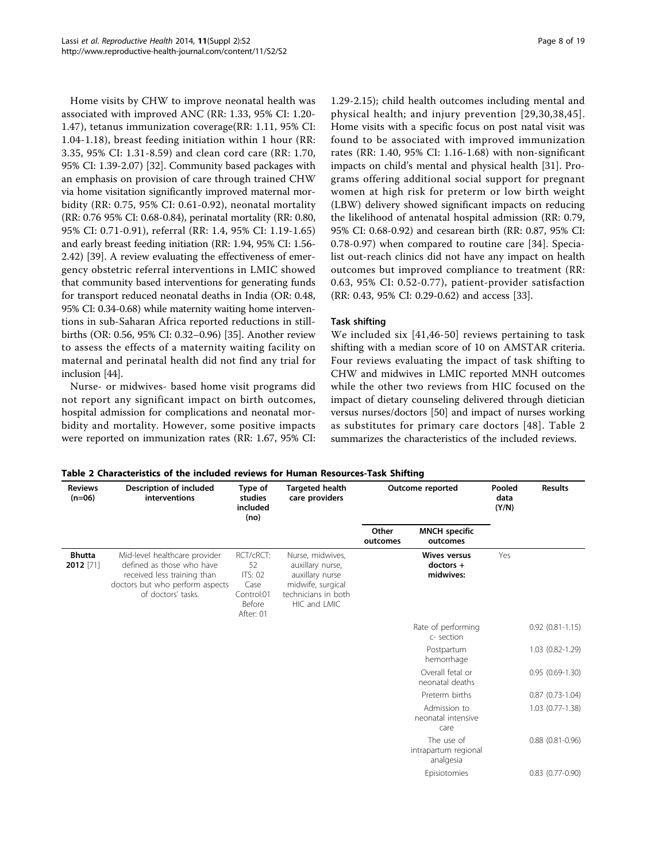Home visits by CHW to improve neonatal health was associated with improved ANC (RR: 1.33, 95% CI: 1.20- 1.47), tetanus immunization coverage(RR: 1.11, 95% CI: 1.04-1.18), breast feeding initiation within 1 hour (RR: 3.35, 95% CI: 1.31-8.59) and clean cord care (RR: 1.70, 95% CI: 1.39-2.07) [[32\]](#page-17-0). Community based packages with an emphasis on provision of care through trained CHW via home visitation significantly improved maternal morbidity (RR: 0.75, 95% CI: 0.61-0.92), neonatal mortality (RR: 0.76 95% CI: 0.68-0.84), perinatal mortality (RR: 0.80, 95% CI: 0.71-0.91), referral (RR: 1.4, 95% CI: 1.19-1.65) and early breast feeding initiation (RR: 1.94, 95% CI: 1.56- 2.42) [[39\]](#page-17-0). A review evaluating the effectiveness of emergency obstetric referral interventions in LMIC showed that community based interventions for generating funds for transport reduced neonatal deaths in India (OR: 0.48, 95% CI: 0.34-0.68) while maternity waiting home interventions in sub-Saharan Africa reported reductions in stillbirths (OR: 0.56, 95% CI: 0.32–0.96) [[35](#page-17-0)]. Another review to assess the effects of a maternity waiting facility on maternal and perinatal health did not find any trial for inclusion [[44](#page-18-0)].

Nurse- or midwives- based home visit programs did not report any significant impact on birth outcomes, hospital admission for complications and neonatal morbidity and mortality. However, some positive impacts were reported on immunization rates (RR: 1.67, 95% CI:

1.29-2.15); child health outcomes including mental and physical health; and injury prevention [[29](#page-17-0),[30,38,](#page-17-0)[45\]](#page-18-0). Home visits with a specific focus on post natal visit was found to be associated with improved immunization rates (RR: 1.40, 95% CI: 1.16-1.68) with non-significant impacts on child's mental and physical health [[31\]](#page-17-0). Programs offering additional social support for pregnant women at high risk for preterm or low birth weight (LBW) delivery showed significant impacts on reducing the likelihood of antenatal hospital admission (RR: 0.79, 95% CI: 0.68-0.92) and cesarean birth (RR: 0.87, 95% CI: 0.78-0.97) when compared to routine care [[34\]](#page-17-0). Specialist out-reach clinics did not have any impact on health outcomes but improved compliance to treatment (RR: 0.63, 95% CI: 0.52-0.77), patient-provider satisfaction (RR: 0.43, 95% CI: 0.29-0.62) and access [[33](#page-17-0)].

# Task shifting

We included six [\[41,](#page-17-0)[46](#page-18-0)-[50](#page-18-0)] reviews pertaining to task shifting with a median score of 10 on AMSTAR criteria. Four reviews evaluating the impact of task shifting to CHW and midwives in LMIC reported MNH outcomes while the other two reviews from HIC focused on the impact of dietary counseling delivered through dietician versus nurses/doctors [[50](#page-18-0)] and impact of nurses working as substitutes for primary care doctors [[48\]](#page-18-0). Table 2 summarizes the characteristics of the included reviews.

|  |  |  | Table 2 Characteristics of the included reviews for Human Resources-Task Shifting |
|--|--|--|-----------------------------------------------------------------------------------|
|--|--|--|-----------------------------------------------------------------------------------|

| <b>Reviews</b><br>$(n=06)$ | Description of included<br>interventions                                                                                                           | Type of<br>studies<br>included<br>(no)                                                | <b>Targeted health</b><br>care providers                                                                            |                   | Outcome reported                                | Pooled<br>data<br>(Y/N) | <b>Results</b>         |
|----------------------------|----------------------------------------------------------------------------------------------------------------------------------------------------|---------------------------------------------------------------------------------------|---------------------------------------------------------------------------------------------------------------------|-------------------|-------------------------------------------------|-------------------------|------------------------|
|                            |                                                                                                                                                    |                                                                                       |                                                                                                                     | Other<br>outcomes | <b>MNCH</b> specific<br>outcomes                |                         |                        |
| <b>Bhutta</b><br>2012 [71] | Mid-level healthcare provider<br>defined as those who have<br>received less training than<br>doctors but who perform aspects<br>of doctors' tasks. | RCT/cRCT:<br>52<br><b>ITS: 02</b><br>Case<br>Control:01<br><b>Before</b><br>After: 01 | Nurse, midwives,<br>auxillary nurse,<br>auxillary nurse<br>midwife, surgical<br>technicians in both<br>HIC and LMIC |                   | <b>Wives versus</b><br>$dactors +$<br>midwives: | Yes                     |                        |
|                            |                                                                                                                                                    |                                                                                       |                                                                                                                     |                   | Rate of performing<br>c- section                |                         | $0.92(0.81 - 1.15)$    |
|                            |                                                                                                                                                    |                                                                                       |                                                                                                                     |                   | Postpartum<br>hemorrhage                        |                         | $1.03(0.82 - 1.29)$    |
|                            |                                                                                                                                                    |                                                                                       |                                                                                                                     |                   | Overall fetal or<br>neonatal deaths             |                         | $0.95(0.69-1.30)$      |
|                            |                                                                                                                                                    |                                                                                       |                                                                                                                     |                   | Preterm births                                  |                         | $0.87$ $(0.73 - 1.04)$ |
|                            |                                                                                                                                                    |                                                                                       |                                                                                                                     |                   | Admission to<br>neonatal intensive<br>care      |                         | $1.03(0.77-1.38)$      |
|                            |                                                                                                                                                    |                                                                                       |                                                                                                                     |                   | The use of<br>intrapartum regional<br>analgesia |                         | $0.88$ $(0.81 - 0.96)$ |
|                            |                                                                                                                                                    |                                                                                       |                                                                                                                     |                   | Episiotomies                                    |                         | $0.83$ $(0.77 - 0.90)$ |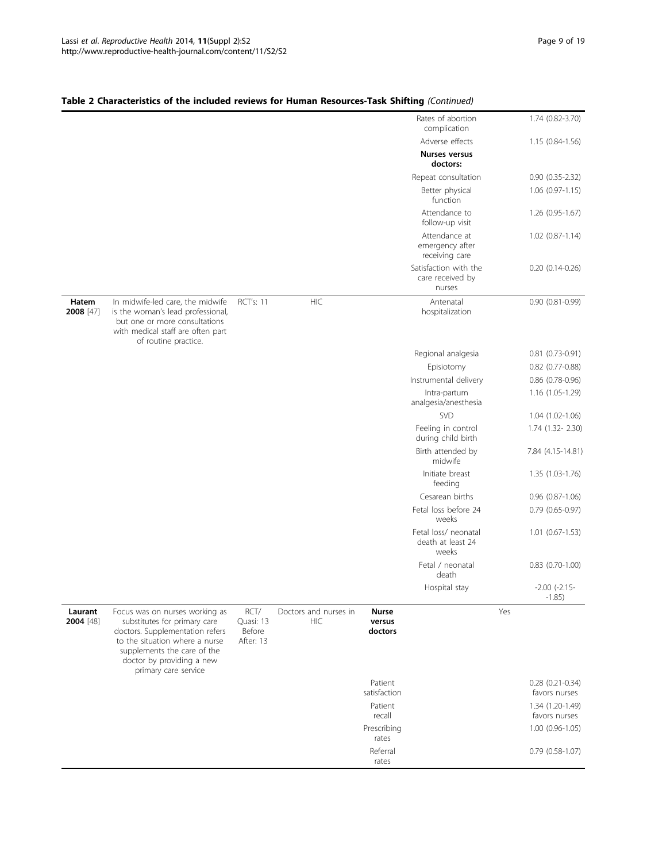|  |  |  | Table 2 Characteristics of the included reviews for Human Resources-Task Shifting <i>(Continued)</i> |  |
|--|--|--|------------------------------------------------------------------------------------------------------|--|
|--|--|--|------------------------------------------------------------------------------------------------------|--|

|                      |                                                                                                                                                                                                                         |                                          |                                     |                                   | Rates of abortion<br>complication                   |     | 1.74 (0.82-3.70)                 |
|----------------------|-------------------------------------------------------------------------------------------------------------------------------------------------------------------------------------------------------------------------|------------------------------------------|-------------------------------------|-----------------------------------|-----------------------------------------------------|-----|----------------------------------|
|                      |                                                                                                                                                                                                                         |                                          |                                     |                                   | Adverse effects                                     |     | $1.15(0.84 - 1.56)$              |
|                      |                                                                                                                                                                                                                         |                                          |                                     |                                   | <b>Nurses versus</b><br>doctors:                    |     |                                  |
|                      |                                                                                                                                                                                                                         |                                          |                                     |                                   | Repeat consultation                                 |     | $0.90(0.35-2.32)$                |
|                      |                                                                                                                                                                                                                         |                                          |                                     |                                   | Better physical<br>function                         |     | $1.06(0.97-1.15)$                |
|                      |                                                                                                                                                                                                                         |                                          |                                     |                                   | Attendance to<br>follow-up visit                    |     | 1.26 (0.95-1.67)                 |
|                      |                                                                                                                                                                                                                         |                                          |                                     |                                   | Attendance at<br>emergency after<br>receiving care  |     | $1.02$ (0.87-1.14)               |
|                      |                                                                                                                                                                                                                         |                                          |                                     |                                   | Satisfaction with the<br>care received by<br>nurses |     | $0.20(0.14-0.26)$                |
| Hatem<br>2008 [47]   | In midwife-led care, the midwife<br>is the woman's lead professional,<br>but one or more consultations                                                                                                                  | <b>RCT's: 11</b>                         | <b>HIC</b>                          |                                   | Antenatal<br>hospitalization                        |     | $0.90(0.81 - 0.99)$              |
|                      | with medical staff are often part<br>of routine practice.                                                                                                                                                               |                                          |                                     |                                   |                                                     |     |                                  |
|                      |                                                                                                                                                                                                                         |                                          |                                     |                                   | Regional analgesia                                  |     | $0.81$ $(0.73 - 0.91)$           |
|                      |                                                                                                                                                                                                                         |                                          |                                     |                                   | Episiotomy                                          |     | 0.82 (0.77-0.88)                 |
|                      |                                                                                                                                                                                                                         |                                          |                                     |                                   | Instrumental delivery                               |     | 0.86 (0.78-0.96)                 |
|                      |                                                                                                                                                                                                                         |                                          |                                     |                                   | Intra-partum<br>analgesia/anesthesia                |     | 1.16 (1.05-1.29)                 |
|                      |                                                                                                                                                                                                                         |                                          |                                     |                                   | SVD                                                 |     | 1.04 (1.02-1.06)                 |
|                      |                                                                                                                                                                                                                         |                                          |                                     |                                   | Feeling in control<br>during child birth            |     | 1.74 (1.32-2.30)                 |
|                      |                                                                                                                                                                                                                         |                                          |                                     |                                   | Birth attended by<br>midwife                        |     | 7.84 (4.15-14.81)                |
|                      |                                                                                                                                                                                                                         |                                          |                                     |                                   | Initiate breast<br>feeding                          |     | 1.35 (1.03-1.76)                 |
|                      |                                                                                                                                                                                                                         |                                          |                                     |                                   | Cesarean births                                     |     | $0.96$ $(0.87-1.06)$             |
|                      |                                                                                                                                                                                                                         |                                          |                                     |                                   | Fetal loss before 24<br>weeks                       |     | $0.79$ $(0.65 - 0.97)$           |
|                      |                                                                                                                                                                                                                         |                                          |                                     |                                   | Fetal loss/ neonatal<br>death at least 24<br>weeks  |     | $1.01$ $(0.67 - 1.53)$           |
|                      |                                                                                                                                                                                                                         |                                          |                                     |                                   | Fetal / neonatal<br>death                           |     | $0.83$ $(0.70-1.00)$             |
|                      |                                                                                                                                                                                                                         |                                          |                                     |                                   | Hospital stay                                       |     | $-2.00$ ( $-2.15$ -<br>$-1.85$ ) |
| Laurant<br>2004 [48] | Focus was on nurses working as<br>substitutes for primary care<br>doctors. Supplementation refers<br>to the situation where a nurse<br>supplements the care of the<br>doctor by providing a new<br>primary care service | RCT/<br>Quasi: 13<br>Before<br>After: 13 | Doctors and nurses in<br><b>HIC</b> | <b>Nurse</b><br>versus<br>doctors |                                                     | Yes |                                  |
|                      |                                                                                                                                                                                                                         |                                          |                                     | Patient                           |                                                     |     | $0.28(0.21 - 0.34)$              |
|                      |                                                                                                                                                                                                                         |                                          |                                     | satisfaction                      |                                                     |     | favors nurses                    |
|                      |                                                                                                                                                                                                                         |                                          |                                     | Patient                           |                                                     |     | 1.34 (1.20-1.49)                 |
|                      |                                                                                                                                                                                                                         |                                          |                                     | recall                            |                                                     |     | favors nurses                    |
|                      |                                                                                                                                                                                                                         |                                          |                                     | Prescribing<br>rates              |                                                     |     | $1.00(0.96-1.05)$                |
|                      |                                                                                                                                                                                                                         |                                          |                                     | Referral<br>rates                 |                                                     |     | $0.79(0.58-1.07)$                |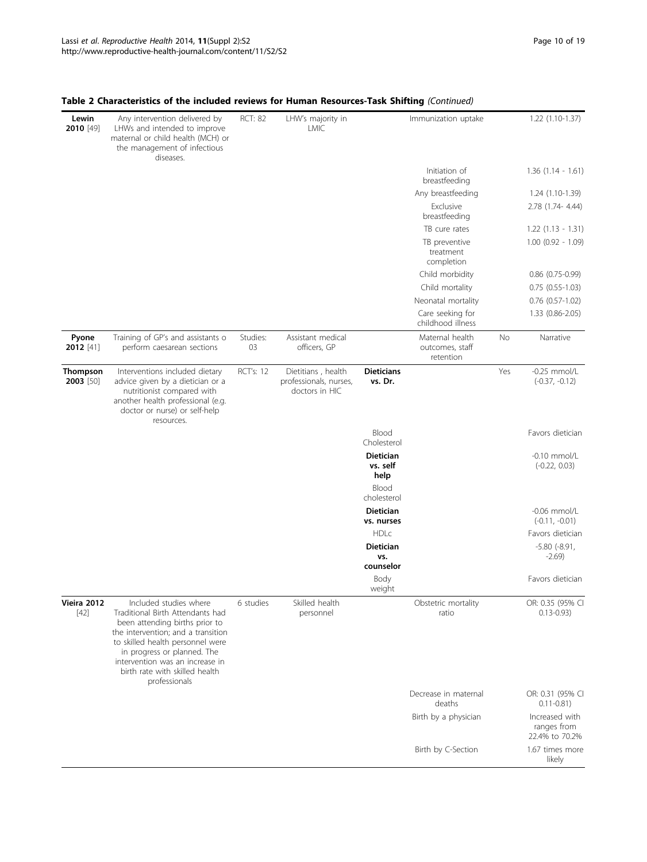| Lewin<br>2010 [49]    | Any intervention delivered by<br>LHWs and intended to improve<br>maternal or child health (MCH) or<br>the management of infectious<br>diseases.                                                                                                                                             | <b>RCT: 82</b>   | LHW's majority in<br><b>LMIC</b>                               |                                      | Immunization uptake                             |     | 1.22 (1.10-1.37)                                |
|-----------------------|---------------------------------------------------------------------------------------------------------------------------------------------------------------------------------------------------------------------------------------------------------------------------------------------|------------------|----------------------------------------------------------------|--------------------------------------|-------------------------------------------------|-----|-------------------------------------------------|
|                       |                                                                                                                                                                                                                                                                                             |                  |                                                                |                                      | Initiation of<br>breastfeeding                  |     | $1.36(1.14 - 1.61)$                             |
|                       |                                                                                                                                                                                                                                                                                             |                  |                                                                |                                      | Any breastfeeding                               |     | 1.24 (1.10-1.39)                                |
|                       |                                                                                                                                                                                                                                                                                             |                  |                                                                |                                      | Exclusive<br>breastfeeding                      |     | 2.78 (1.74-4.44)                                |
|                       |                                                                                                                                                                                                                                                                                             |                  |                                                                |                                      | TB cure rates                                   |     | $1.22$ $(1.13 - 1.31)$                          |
|                       |                                                                                                                                                                                                                                                                                             |                  |                                                                |                                      | TB preventive<br>treatment<br>completion        |     | $1.00$ (0.92 - 1.09)                            |
|                       |                                                                                                                                                                                                                                                                                             |                  |                                                                |                                      | Child morbidity                                 |     | $0.86$ $(0.75-0.99)$                            |
|                       |                                                                                                                                                                                                                                                                                             |                  |                                                                |                                      | Child mortality                                 |     | $0.75(0.55-1.03)$                               |
|                       |                                                                                                                                                                                                                                                                                             |                  |                                                                |                                      | Neonatal mortality                              |     | $0.76$ $(0.57-1.02)$                            |
|                       |                                                                                                                                                                                                                                                                                             |                  |                                                                |                                      | Care seeking for<br>childhood illness           |     | 1.33 (0.86-2.05)                                |
| Pyone<br>$2012$ [41]  | Training of GP's and assistants o<br>perform caesarean sections                                                                                                                                                                                                                             | Studies:<br>03   | Assistant medical<br>officers, GP                              |                                      | Maternal health<br>outcomes, staff<br>retention | No  | Narrative                                       |
| Thompson<br>2003 [50] | Interventions included dietary<br>advice given by a dietician or a<br>nutritionist compared with<br>another health professional (e.g.<br>doctor or nurse) or self-help<br>resources.                                                                                                        | <b>RCT's: 12</b> | Dietitians, health<br>professionals, nurses,<br>doctors in HIC | <b>Dieticians</b><br>vs. Dr.         |                                                 | Yes | $-0.25$ mmol/L<br>$(-0.37, -0.12)$              |
|                       |                                                                                                                                                                                                                                                                                             |                  |                                                                | Blood<br>Cholesterol                 |                                                 |     | Favors dietician                                |
|                       |                                                                                                                                                                                                                                                                                             |                  |                                                                | <b>Dietician</b><br>vs. self<br>help |                                                 |     | $-0.10$ mmol/L<br>$(-0.22, 0.03)$               |
|                       |                                                                                                                                                                                                                                                                                             |                  |                                                                | Blood<br>cholesterol                 |                                                 |     |                                                 |
|                       |                                                                                                                                                                                                                                                                                             |                  |                                                                | Dietician<br>vs. nurses              |                                                 |     | $-0.06$ mmol/L<br>$(-0.11, -0.01)$              |
|                       |                                                                                                                                                                                                                                                                                             |                  |                                                                | <b>HDLc</b>                          |                                                 |     | Favors dietician                                |
|                       |                                                                                                                                                                                                                                                                                             |                  |                                                                | Dietician<br>VS.                     |                                                 |     | $-5.80$ $(-8.91,$<br>$-2.69$                    |
|                       |                                                                                                                                                                                                                                                                                             |                  |                                                                | counselor                            |                                                 |     |                                                 |
|                       |                                                                                                                                                                                                                                                                                             |                  |                                                                | Body<br>weight                       |                                                 |     | Favors dietician                                |
| Vieira 2012<br>$[42]$ | Included studies where<br>Traditional Birth Attendants had<br>been attending births prior to<br>the intervention; and a transition<br>to skilled health personnel were<br>in progress or planned. The<br>intervention was an increase in<br>birth rate with skilled health<br>professionals | 6 studies        | Skilled health<br>personnel                                    |                                      | Obstetric mortality<br>ratio                    |     | OR: 0.35 (95% CI<br>$0.13 - 0.93$               |
|                       |                                                                                                                                                                                                                                                                                             |                  |                                                                |                                      | Decrease in maternal<br>deaths                  |     | OR: 0.31 (95% CI<br>$0.11 - 0.81$               |
|                       |                                                                                                                                                                                                                                                                                             |                  |                                                                |                                      | Birth by a physician                            |     | Increased with<br>ranges from<br>22.4% to 70.2% |
|                       |                                                                                                                                                                                                                                                                                             |                  |                                                                |                                      | Birth by C-Section                              |     | 1.67 times more<br>likely                       |

# Table 2 Characteristics of the included reviews for Human Resources-Task Shifting (Continued)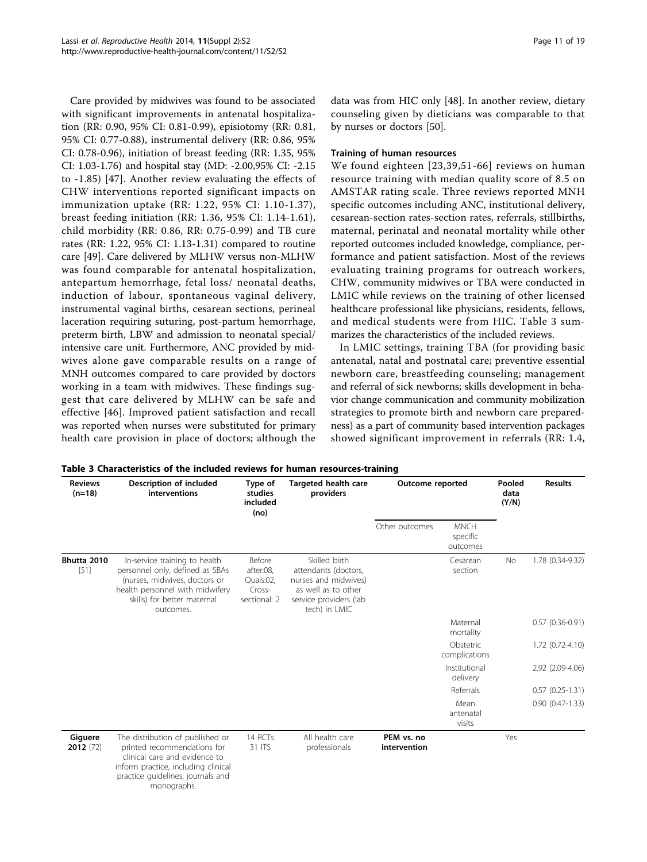Care provided by midwives was found to be associated with significant improvements in antenatal hospitalization (RR: 0.90, 95% CI: 0.81-0.99), episiotomy (RR: 0.81, 95% CI: 0.77-0.88), instrumental delivery (RR: 0.86, 95% CI: 0.78-0.96), initiation of breast feeding (RR: 1.35, 95% CI: 1.03-1.76) and hospital stay (MD: -2.00,95% CI: -2.15 to -1.85) [[47](#page-18-0)]. Another review evaluating the effects of CHW interventions reported significant impacts on immunization uptake (RR: 1.22, 95% CI: 1.10-1.37), breast feeding initiation (RR: 1.36, 95% CI: 1.14-1.61), child morbidity (RR: 0.86, RR: 0.75-0.99) and TB cure rates (RR: 1.22, 95% CI: 1.13-1.31) compared to routine care [\[49](#page-18-0)]. Care delivered by MLHW versus non-MLHW was found comparable for antenatal hospitalization, antepartum hemorrhage, fetal loss/ neonatal deaths, induction of labour, spontaneous vaginal delivery, instrumental vaginal births, cesarean sections, perineal laceration requiring suturing, post-partum hemorrhage, preterm birth, LBW and admission to neonatal special/ intensive care unit. Furthermore, ANC provided by midwives alone gave comparable results on a range of MNH outcomes compared to care provided by doctors working in a team with midwives. These findings suggest that care delivered by MLHW can be safe and effective [[46](#page-18-0)]. Improved patient satisfaction and recall was reported when nurses were substituted for primary health care provision in place of doctors; although the data was from HIC only [\[48](#page-18-0)]. In another review, dietary counseling given by dieticians was comparable to that by nurses or doctors [[50](#page-18-0)].

#### Training of human resources

We found eighteen [[23](#page-17-0),[39,](#page-17-0)[51](#page-18-0)-[66\]](#page-18-0) reviews on human resource training with median quality score of 8.5 on AMSTAR rating scale. Three reviews reported MNH specific outcomes including ANC, institutional delivery, cesarean-section rates-section rates, referrals, stillbirths, maternal, perinatal and neonatal mortality while other reported outcomes included knowledge, compliance, performance and patient satisfaction. Most of the reviews evaluating training programs for outreach workers, CHW, community midwives or TBA were conducted in LMIC while reviews on the training of other licensed healthcare professional like physicians, residents, fellows, and medical students were from HIC. Table 3 summarizes the characteristics of the included reviews.

In LMIC settings, training TBA (for providing basic antenatal, natal and postnatal care; preventive essential newborn care, breastfeeding counseling; management and referral of sick newborns; skills development in behavior change communication and community mobilization strategies to promote birth and newborn care preparedness) as a part of community based intervention packages showed significant improvement in referrals (RR: 1.4,

| Table 3 Characteristics of the included reviews for human resources-training |  |  |
|------------------------------------------------------------------------------|--|--|
|------------------------------------------------------------------------------|--|--|

| <b>Reviews</b>       | Description of included                                                                                                                                                                     | Type of                                                      | <b>Targeted health care</b>                                                                                                     | Outcome reported           |                                     | Pooled        | <b>Results</b>      |
|----------------------|---------------------------------------------------------------------------------------------------------------------------------------------------------------------------------------------|--------------------------------------------------------------|---------------------------------------------------------------------------------------------------------------------------------|----------------------------|-------------------------------------|---------------|---------------------|
| $(n=18)$             | interventions                                                                                                                                                                               | studies<br>included<br>(no)                                  | providers                                                                                                                       |                            |                                     | data<br>(Y/N) |                     |
|                      |                                                                                                                                                                                             |                                                              |                                                                                                                                 | Other outcomes             | <b>MNCH</b><br>specific<br>outcomes |               |                     |
| Bhutta 2010<br>[51]  | In-service training to health<br>personnel only, defined as SBAs<br>(nurses, midwives, doctors or<br>health personnel with midwifery<br>skills) for better maternal<br>outcomes.            | Before<br>after:08,<br>Quais:02,<br>$Cross-$<br>sectional: 2 | Skilled birth<br>attendants (doctors,<br>nurses and midwives)<br>as well as to other<br>service providers (lab<br>tech) in LMIC |                            | Cesarean<br>section                 | <b>No</b>     | 1.78 (0.34-9.32)    |
|                      |                                                                                                                                                                                             |                                                              |                                                                                                                                 |                            | Maternal<br>mortality               |               | $0.57(0.36 - 0.91)$ |
|                      |                                                                                                                                                                                             |                                                              |                                                                                                                                 |                            | Obstetric<br>complications          |               | 1.72 (0.72-4.10)    |
|                      |                                                                                                                                                                                             |                                                              |                                                                                                                                 |                            | Institutional<br>delivery           |               | 2.92 (2.09-4.06)    |
|                      |                                                                                                                                                                                             |                                                              |                                                                                                                                 |                            | Referrals                           |               | $0.57(0.25-1.31)$   |
|                      |                                                                                                                                                                                             |                                                              |                                                                                                                                 |                            | Mean<br>antenatal<br>visits         |               | $0.90(0.47 - 1.33)$ |
| Giguere<br>2012 [72] | The distribution of published or<br>printed recommendations for<br>clinical care and evidence to<br>inform practice, including clinical<br>practice quidelines, journals and<br>monographs. | 14 RCTs<br>31 ITS                                            | All health care<br>professionals                                                                                                | PEM vs. no<br>intervention |                                     | Yes           |                     |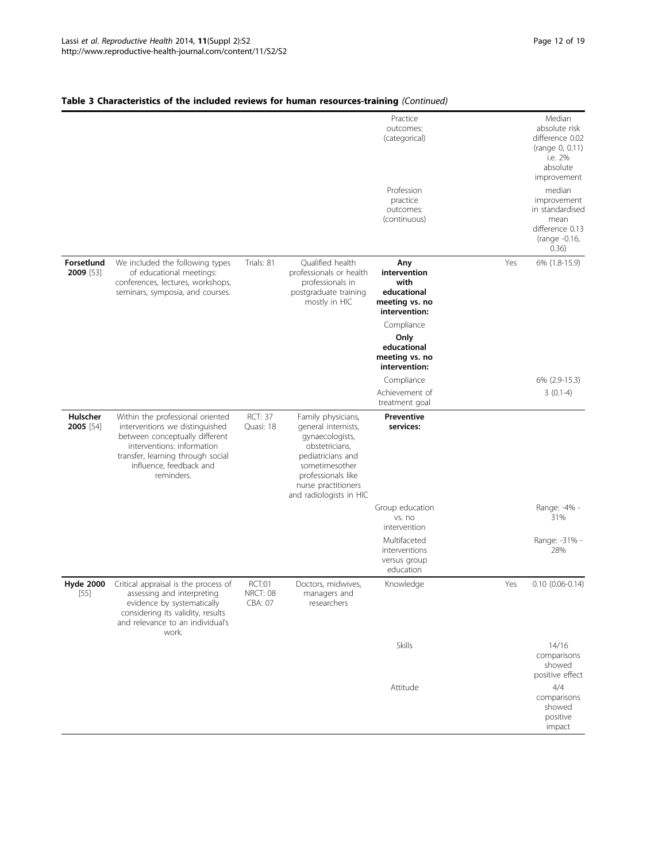|                            |                                                                                                                                                                                                                  |                                      |                                                                                                                                                                                               | Practice<br>outcomes:<br>(categorical)<br>Profession<br>practice<br>outcomes:<br>(continuous)                                                                                         |     | Median<br>absolute risk<br>difference 0.02<br>(range 0, 0.11)<br>i.e. 2%<br>absolute<br>improvement<br>median<br>improvement<br>in standardised<br>mean<br>difference 0.13<br>(range -0.16, |
|----------------------------|------------------------------------------------------------------------------------------------------------------------------------------------------------------------------------------------------------------|--------------------------------------|-----------------------------------------------------------------------------------------------------------------------------------------------------------------------------------------------|---------------------------------------------------------------------------------------------------------------------------------------------------------------------------------------|-----|---------------------------------------------------------------------------------------------------------------------------------------------------------------------------------------------|
| Forsetlund<br>2009 [53]    | We included the following types<br>of educational meetings:<br>conferences, lectures, workshops,<br>seminars, symposia, and courses.                                                                             | Trials: 81                           | Qualified health<br>professionals or health<br>professionals in<br>postgraduate training<br>mostly in HIC                                                                                     | Any<br>intervention<br>with<br>educational<br>meeting vs. no<br>intervention:<br>Compliance<br>Only<br>educational<br>meeting vs. no<br>intervention:<br>Compliance<br>Achievement of | Yes | 0.36)<br>6% (1.8-15.9)<br>6% (2.9-15.3)<br>$3(0.1-4)$                                                                                                                                       |
| Hulscher<br>2005 [54]      | Within the professional oriented<br>interventions we distinguished<br>between conceptually different<br>interventions: information<br>transfer, learning through social<br>influence, feedback and<br>reminders. | <b>RCT: 37</b><br>Quasi: 18          | Family physicians,<br>general internists,<br>gynaecologists,<br>obstetricians,<br>pediatricians and<br>sometimesother<br>professionals like<br>nurse practitioners<br>and radiologists in HIC | treatment goal<br>Preventive<br>services:                                                                                                                                             |     |                                                                                                                                                                                             |
|                            |                                                                                                                                                                                                                  |                                      |                                                                                                                                                                                               | Group education<br>vs. no<br>intervention<br>Multifaceted<br>interventions<br>versus group<br>education                                                                               |     | Range: -4% -<br>31%<br>Range: -31% -<br>28%                                                                                                                                                 |
| <b>Hyde 2000</b><br>$[55]$ | Critical appraisal is the process of<br>assessing and interpreting<br>evidence by systematically<br>considering its validity, results<br>and relevance to an individual's<br>work.                               | <b>RCT:01</b><br>NRCT: 08<br>CBA: 07 | Doctors, midwives,<br>managers and<br>researchers                                                                                                                                             | Knowledge                                                                                                                                                                             | Yes | $0.10(0.06 - 0.14)$                                                                                                                                                                         |
|                            |                                                                                                                                                                                                                  |                                      |                                                                                                                                                                                               | Skills<br>Attitude                                                                                                                                                                    |     | 14/16<br>comparisons<br>showed<br>positive effect<br>4/4<br>comparisons                                                                                                                     |
|                            |                                                                                                                                                                                                                  |                                      |                                                                                                                                                                                               |                                                                                                                                                                                       |     | showed<br>positive<br>impact                                                                                                                                                                |

# Table 3 Characteristics of the included reviews for human resources-training (Continued)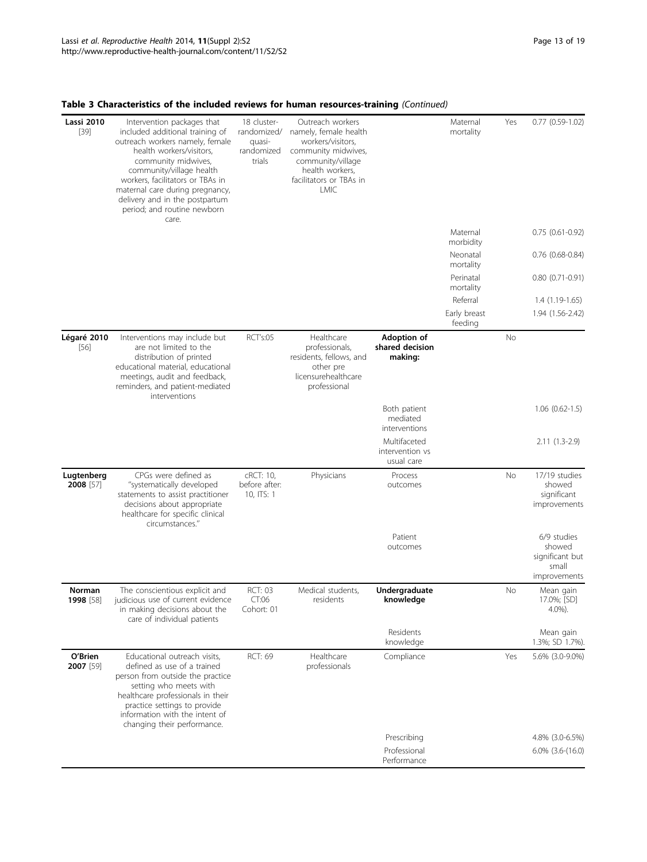| Lassi 2010<br>$[39]$    | Intervention packages that<br>included additional training of<br>outreach workers namely, female<br>health workers/visitors,<br>community midwives,<br>community/village health<br>workers, facilitators or TBAs in<br>maternal care during pregnancy,<br>delivery and in the postpartum<br>period; and routine newborn<br>care. | 18 cluster-<br>randomized/<br>quasi-<br>randomized<br>trials | Outreach workers<br>namely, female health<br>workers/visitors,<br>community midwives,<br>community/village<br>health workers,<br>facilitators or TBAs in<br><b>LMIC</b> |                                                  | Maternal<br>mortality   | Yes       | $0.77$ $(0.59 - 1.02)$                                            |
|-------------------------|----------------------------------------------------------------------------------------------------------------------------------------------------------------------------------------------------------------------------------------------------------------------------------------------------------------------------------|--------------------------------------------------------------|-------------------------------------------------------------------------------------------------------------------------------------------------------------------------|--------------------------------------------------|-------------------------|-----------|-------------------------------------------------------------------|
|                         |                                                                                                                                                                                                                                                                                                                                  |                                                              |                                                                                                                                                                         |                                                  | Maternal<br>morbidity   |           | $0.75(0.61-0.92)$                                                 |
|                         |                                                                                                                                                                                                                                                                                                                                  |                                                              |                                                                                                                                                                         |                                                  | Neonatal<br>mortality   |           | $0.76$ (0.68-0.84)                                                |
|                         |                                                                                                                                                                                                                                                                                                                                  |                                                              |                                                                                                                                                                         |                                                  | Perinatal<br>mortality  |           | $0.80(0.71-0.91)$                                                 |
|                         |                                                                                                                                                                                                                                                                                                                                  |                                                              |                                                                                                                                                                         |                                                  | Referral                |           | $1.4(1.19-1.65)$                                                  |
|                         |                                                                                                                                                                                                                                                                                                                                  |                                                              |                                                                                                                                                                         |                                                  | Early breast<br>feeding |           | 1.94 (1.56-2.42)                                                  |
| Légaré 2010<br>[56]     | Interventions may include but<br>are not limited to the<br>distribution of printed<br>educational material, educational<br>meetings, audit and feedback,<br>reminders, and patient-mediated<br>interventions                                                                                                                     | <b>RCT's:05</b>                                              | Healthcare<br>professionals,<br>residents, fellows, and<br>other pre<br>licensurehealthcare<br>professional                                                             | <b>Adoption of</b><br>shared decision<br>making: |                         | No        |                                                                   |
|                         |                                                                                                                                                                                                                                                                                                                                  |                                                              |                                                                                                                                                                         | Both patient<br>mediated<br>interventions        |                         |           | $1.06$ $(0.62 - 1.5)$                                             |
|                         |                                                                                                                                                                                                                                                                                                                                  |                                                              |                                                                                                                                                                         | Multifaceted<br>intervention vs<br>usual care    |                         |           | $2.11(1.3-2.9)$                                                   |
| Lugtenberg<br>2008 [57] | CPGs were defined as<br>"systematically developed<br>statements to assist practitioner<br>decisions about appropriate<br>healthcare for specific clinical<br>circumstances."                                                                                                                                                     | cRCT: 10,<br>before after:<br>10, ITS: 1                     | Physicians                                                                                                                                                              | Process<br>outcomes                              |                         | <b>No</b> | 17/19 studies<br>showed<br>significant<br>improvements            |
|                         |                                                                                                                                                                                                                                                                                                                                  |                                                              |                                                                                                                                                                         | Patient<br>outcomes                              |                         |           | 6/9 studies<br>showed<br>significant but<br>small<br>improvements |
| Norman<br>1998 [58]     | The conscientious explicit and<br>judicious use of current evidence<br>in making decisions about the<br>care of individual patients                                                                                                                                                                                              | <b>RCT: 03</b><br>CT:06<br>Cohort: 01                        | Medical students,<br>residents                                                                                                                                          | Undergraduate<br>knowledge                       |                         | No        | Mean gain<br>17.0%; [SD]<br>$4.0\%$ ).                            |
|                         |                                                                                                                                                                                                                                                                                                                                  |                                                              |                                                                                                                                                                         | Residents<br>knowledge                           |                         |           | Mean gain<br>1.3%; SD 1.7%).                                      |
| O'Brien<br>2007 [59]    | Educational outreach visits.<br>defined as use of a trained<br>person from outside the practice<br>setting who meets with<br>healthcare professionals in their<br>practice settings to provide<br>information with the intent of<br>changing their performance.                                                                  | <b>RCT: 69</b>                                               | Healthcare<br>professionals                                                                                                                                             | Compliance                                       |                         | Yes       | 5.6% (3.0-9.0%)                                                   |
|                         |                                                                                                                                                                                                                                                                                                                                  |                                                              |                                                                                                                                                                         | Prescribing                                      |                         |           | 4.8% (3.0-6.5%)                                                   |
|                         |                                                                                                                                                                                                                                                                                                                                  |                                                              |                                                                                                                                                                         | Professional                                     |                         |           | $6.0\%$ $(3.6-(16.0))$                                            |

Performance

# Table 3 Characteristics of the included reviews for human resources-training (Continued)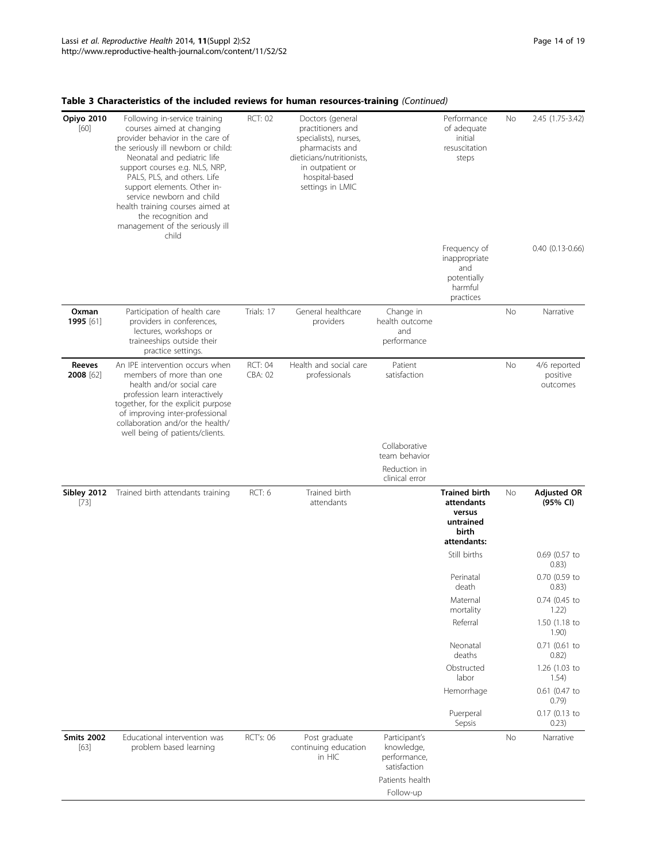| Opiyo 2010<br>[60]          | Following in-service training<br>courses aimed at changing<br>provider behavior in the care of<br>the seriously ill newborn or child:<br>Neonatal and pediatric life<br>support courses e.g. NLS, NRP,<br>PALS, PLS, and others. Life<br>support elements. Other in-<br>service newborn and child<br>health training courses aimed at<br>the recognition and<br>management of the seriously ill<br>child | <b>RCT: 02</b>            | Doctors (general<br>practitioners and<br>specialists), nurses,<br>pharmacists and<br>dieticians/nutritionists,<br>in outpatient or<br>hospital-based<br>settings in LMIC |                                                                  | Performance<br>of adequate<br>initial<br>resuscitation<br>steps                   | No        | 2.45 (1.75-3.42)                     |
|-----------------------------|----------------------------------------------------------------------------------------------------------------------------------------------------------------------------------------------------------------------------------------------------------------------------------------------------------------------------------------------------------------------------------------------------------|---------------------------|--------------------------------------------------------------------------------------------------------------------------------------------------------------------------|------------------------------------------------------------------|-----------------------------------------------------------------------------------|-----------|--------------------------------------|
|                             |                                                                                                                                                                                                                                                                                                                                                                                                          |                           |                                                                                                                                                                          |                                                                  | Frequency of<br>inappropriate<br>and<br>potentially<br>harmful<br>practices       |           | $0.40(0.13 - 0.66)$                  |
| Oxman<br>1995 [61]          | Participation of health care<br>providers in conferences,<br>lectures, workshops or<br>traineeships outside their<br>practice settings.                                                                                                                                                                                                                                                                  | Trials: 17                | General healthcare<br>providers                                                                                                                                          | Change in<br>health outcome<br>and<br>performance                |                                                                                   | <b>No</b> | Narrative                            |
| <b>Reeves</b><br>2008 [62]  | An IPE intervention occurs when<br>members of more than one<br>health and/or social care<br>profession learn interactively<br>together, for the explicit purpose<br>of improving inter-professional<br>collaboration and/or the health/<br>well being of patients/clients.                                                                                                                               | <b>RCT: 04</b><br>CBA: 02 | Health and social care<br>professionals                                                                                                                                  | Patient<br>satisfaction                                          |                                                                                   | No        | 4/6 reported<br>positive<br>outcomes |
|                             |                                                                                                                                                                                                                                                                                                                                                                                                          |                           |                                                                                                                                                                          | Collaborative<br>team behavior<br>Reduction in<br>clinical error |                                                                                   |           |                                      |
| Sibley 2012<br>$[73]$       | Trained birth attendants training                                                                                                                                                                                                                                                                                                                                                                        | RCT: 6                    | Trained birth<br>attendants                                                                                                                                              |                                                                  | <b>Trained birth</b><br>attendants<br>versus<br>untrained<br>birth<br>attendants: | No        | <b>Adjusted OR</b><br>(95% CI)       |
|                             |                                                                                                                                                                                                                                                                                                                                                                                                          |                           |                                                                                                                                                                          |                                                                  | Still births                                                                      |           | 0.69 (0.57 to<br>0.83)               |
|                             |                                                                                                                                                                                                                                                                                                                                                                                                          |                           |                                                                                                                                                                          |                                                                  | Perinatal<br>death                                                                |           | 0.70 (0.59 to<br>0.83)               |
|                             |                                                                                                                                                                                                                                                                                                                                                                                                          |                           |                                                                                                                                                                          |                                                                  | Maternal<br>mortality                                                             |           | 0.74 (0.45 to<br>1.22)               |
|                             |                                                                                                                                                                                                                                                                                                                                                                                                          |                           |                                                                                                                                                                          |                                                                  | Referral                                                                          |           | 1.50 (1.18 to<br>1.90)               |
|                             |                                                                                                                                                                                                                                                                                                                                                                                                          |                           |                                                                                                                                                                          |                                                                  | Neonatal<br>deaths                                                                |           | $0.71$ (0.61 to<br>0.82)             |
|                             |                                                                                                                                                                                                                                                                                                                                                                                                          |                           |                                                                                                                                                                          |                                                                  | Obstructed<br>labor                                                               |           | 1.26 (1.03 to<br>1.54)               |
|                             |                                                                                                                                                                                                                                                                                                                                                                                                          |                           |                                                                                                                                                                          |                                                                  | Hemorrhage                                                                        |           | 0.61 (0.47 to<br>0.79)               |
|                             |                                                                                                                                                                                                                                                                                                                                                                                                          |                           |                                                                                                                                                                          |                                                                  | Puerperal<br>Sepsis                                                               |           | 0.17 (0.13 to<br>0.23)               |
| <b>Smits 2002</b><br>$[63]$ | Educational intervention was<br>problem based learning                                                                                                                                                                                                                                                                                                                                                   | <b>RCT's: 06</b>          | Post graduate<br>continuing education<br>in HIC                                                                                                                          | Participant's<br>knowledge,<br>performance,<br>satisfaction      |                                                                                   | No        | Narrative                            |
|                             |                                                                                                                                                                                                                                                                                                                                                                                                          |                           |                                                                                                                                                                          | Patients health<br>Follow-up                                     |                                                                                   |           |                                      |

# Table 3 Characteristics of the included reviews for human resources-training (Continued)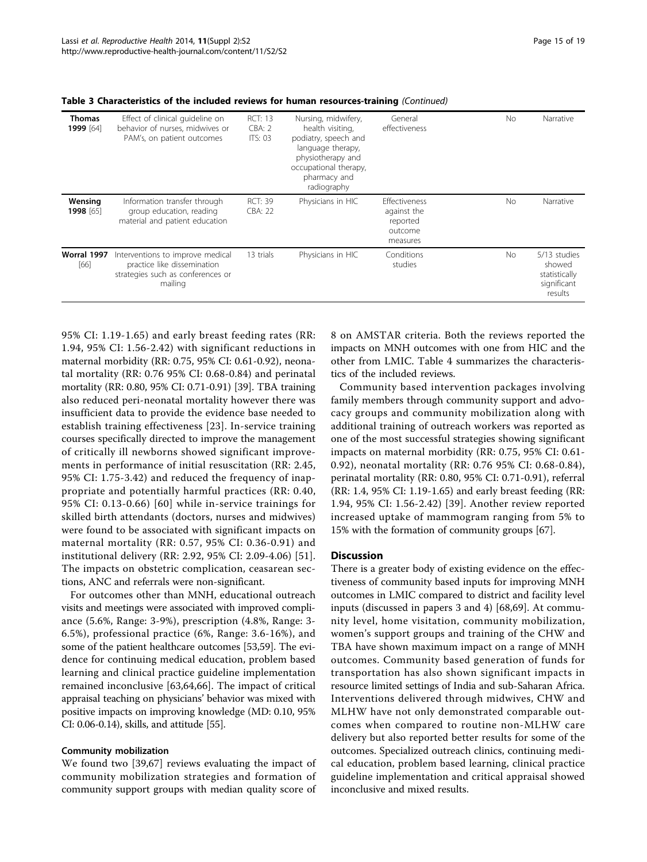| <b>Thomas</b><br>1999 [64] | Effect of clinical quideline on<br>behavior of nurses, midwives or<br>PAM's, on patient outcomes                | <b>RCT: 13</b><br>CBA: 2<br>ITS: 03 | Nursing, midwifery,<br>health visiting,<br>podiatry, speech and<br>language therapy,<br>physiotherapy and<br>occupational therapy,<br>pharmacy and<br>radiography | General<br>effectiveness                                               | No        | Narrative                                                         |
|----------------------------|-----------------------------------------------------------------------------------------------------------------|-------------------------------------|-------------------------------------------------------------------------------------------------------------------------------------------------------------------|------------------------------------------------------------------------|-----------|-------------------------------------------------------------------|
| Wensing<br>1998 [65]       | Information transfer through<br>group education, reading<br>material and patient education                      | <b>RCT: 39</b><br><b>CBA: 22</b>    | Physicians in HIC                                                                                                                                                 | <b>Effectiveness</b><br>against the<br>reported<br>outcome<br>measures | <b>No</b> | Narrative                                                         |
| Worral 1997<br>[66]        | Interventions to improve medical<br>practice like dissemination<br>strategies such as conferences or<br>mailing | 13 trials                           | Physicians in HIC                                                                                                                                                 | Conditions<br>studies                                                  | No.       | 5/13 studies<br>showed<br>statistically<br>significant<br>results |

Table 3 Characteristics of the included reviews for human resources-training (Continued)

95% CI: 1.19-1.65) and early breast feeding rates (RR: 1.94, 95% CI: 1.56-2.42) with significant reductions in maternal morbidity (RR: 0.75, 95% CI: 0.61-0.92), neonatal mortality (RR: 0.76 95% CI: 0.68-0.84) and perinatal mortality (RR: 0.80, 95% CI: 0.71-0.91) [[39\]](#page-17-0). TBA training also reduced peri-neonatal mortality however there was insufficient data to provide the evidence base needed to establish training effectiveness [[23](#page-17-0)]. In-service training courses specifically directed to improve the management of critically ill newborns showed significant improvements in performance of initial resuscitation (RR: 2.45, 95% CI: 1.75-3.42) and reduced the frequency of inappropriate and potentially harmful practices (RR: 0.40, 95% CI: 0.13-0.66) [[60\]](#page-18-0) while in-service trainings for skilled birth attendants (doctors, nurses and midwives) were found to be associated with significant impacts on maternal mortality (RR: 0.57, 95% CI: 0.36-0.91) and institutional delivery (RR: 2.92, 95% CI: 2.09-4.06) [[51](#page-18-0)]. The impacts on obstetric complication, ceasarean sections, ANC and referrals were non-significant.

For outcomes other than MNH, educational outreach visits and meetings were associated with improved compliance (5.6%, Range: 3-9%), prescription (4.8%, Range: 3- 6.5%), professional practice (6%, Range: 3.6-16%), and some of the patient healthcare outcomes [\[53,59\]](#page-18-0). The evidence for continuing medical education, problem based learning and clinical practice guideline implementation remained inconclusive [[63,64,66](#page-18-0)]. The impact of critical appraisal teaching on physicians' behavior was mixed with positive impacts on improving knowledge (MD: 0.10, 95% CI: 0.06-0.14), skills, and attitude [\[55\]](#page-18-0).

### Community mobilization

We found two [[39,](#page-17-0)[67\]](#page-18-0) reviews evaluating the impact of community mobilization strategies and formation of community support groups with median quality score of

8 on AMSTAR criteria. Both the reviews reported the impacts on MNH outcomes with one from HIC and the other from LMIC. Table [4](#page-15-0) summarizes the characteristics of the included reviews.

Community based intervention packages involving family members through community support and advocacy groups and community mobilization along with additional training of outreach workers was reported as one of the most successful strategies showing significant impacts on maternal morbidity (RR: 0.75, 95% CI: 0.61- 0.92), neonatal mortality (RR: 0.76 95% CI: 0.68-0.84), perinatal mortality (RR: 0.80, 95% CI: 0.71-0.91), referral (RR: 1.4, 95% CI: 1.19-1.65) and early breast feeding (RR: 1.94, 95% CI: 1.56-2.42) [\[39\]](#page-17-0). Another review reported increased uptake of mammogram ranging from 5% to 15% with the formation of community groups [[67](#page-18-0)].

#### **Discussion**

There is a greater body of existing evidence on the effectiveness of community based inputs for improving MNH outcomes in LMIC compared to district and facility level inputs (discussed in papers 3 and 4) [[68,69](#page-18-0)]. At community level, home visitation, community mobilization, women's support groups and training of the CHW and TBA have shown maximum impact on a range of MNH outcomes. Community based generation of funds for transportation has also shown significant impacts in resource limited settings of India and sub-Saharan Africa. Interventions delivered through midwives, CHW and MLHW have not only demonstrated comparable outcomes when compared to routine non-MLHW care delivery but also reported better results for some of the outcomes. Specialized outreach clinics, continuing medical education, problem based learning, clinical practice guideline implementation and critical appraisal showed inconclusive and mixed results.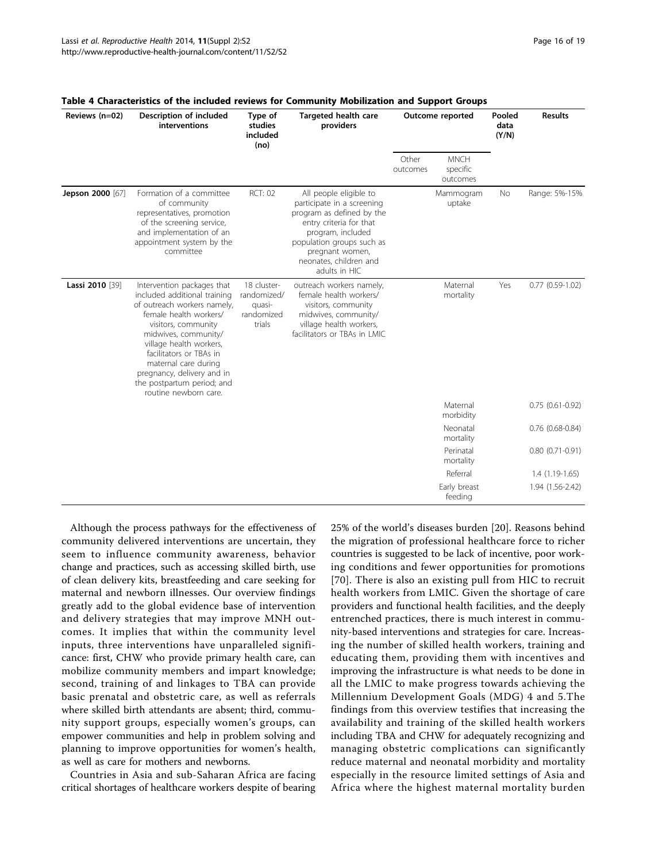| Reviews (n=02)   | Description of included<br>interventions                                                                                                                                                                                                                                                                                              | Type of<br>studies<br>included<br>(no)                       | <b>Targeted health care</b><br>providers                                                                                                                                                                                     | Outcome reported  |                                     | Pooled<br>data<br>(Y/N) | <b>Results</b>         |
|------------------|---------------------------------------------------------------------------------------------------------------------------------------------------------------------------------------------------------------------------------------------------------------------------------------------------------------------------------------|--------------------------------------------------------------|------------------------------------------------------------------------------------------------------------------------------------------------------------------------------------------------------------------------------|-------------------|-------------------------------------|-------------------------|------------------------|
|                  |                                                                                                                                                                                                                                                                                                                                       |                                                              |                                                                                                                                                                                                                              | Other<br>outcomes | <b>MNCH</b><br>specific<br>outcomes |                         |                        |
| Jepson 2000 [67] | Formation of a committee<br>of community<br>representatives, promotion<br>of the screening service,<br>and implementation of an<br>appointment system by the<br>committee                                                                                                                                                             | <b>RCT: 02</b>                                               | All people eligible to<br>participate in a screening<br>program as defined by the<br>entry criteria for that<br>program, included<br>population groups such as<br>pregnant women,<br>neonates, children and<br>adults in HIC |                   | Mammogram<br>uptake                 | <b>No</b>               | Range: 5%-15%          |
| Lassi 2010 [39]  | Intervention packages that<br>included additional training<br>of outreach workers namely,<br>female health workers/<br>visitors, community<br>midwives, community/<br>village health workers,<br>facilitators or TBAs in<br>maternal care during<br>pregnancy, delivery and in<br>the postpartum period; and<br>routine newborn care. | 18 cluster-<br>randomized/<br>quasi-<br>randomized<br>trials | outreach workers namely,<br>female health workers/<br>visitors, community<br>midwives, community/<br>village health workers,<br>facilitators or TBAs in LMIC                                                                 |                   | Maternal<br>mortality               | Yes                     | $0.77$ $(0.59-1.02)$   |
|                  |                                                                                                                                                                                                                                                                                                                                       |                                                              |                                                                                                                                                                                                                              |                   | Maternal<br>morbidity               |                         | $0.75$ $(0.61 - 0.92)$ |
|                  |                                                                                                                                                                                                                                                                                                                                       |                                                              |                                                                                                                                                                                                                              |                   | Neonatal<br>mortality               |                         | 0.76 (0.68-0.84)       |
|                  |                                                                                                                                                                                                                                                                                                                                       |                                                              |                                                                                                                                                                                                                              |                   | Perinatal<br>mortality              |                         | $0.80$ $(0.71 - 0.91)$ |
|                  |                                                                                                                                                                                                                                                                                                                                       |                                                              |                                                                                                                                                                                                                              |                   | Referral                            |                         | $1.4(1.19-1.65)$       |
|                  |                                                                                                                                                                                                                                                                                                                                       |                                                              |                                                                                                                                                                                                                              |                   | Early breast<br>feeding             |                         | 1.94 (1.56-2.42)       |

<span id="page-15-0"></span>Table 4 Characteristics of the included reviews for Community Mobilization and Support Groups

Although the process pathways for the effectiveness of community delivered interventions are uncertain, they seem to influence community awareness, behavior change and practices, such as accessing skilled birth, use of clean delivery kits, breastfeeding and care seeking for maternal and newborn illnesses. Our overview findings greatly add to the global evidence base of intervention and delivery strategies that may improve MNH outcomes. It implies that within the community level inputs, three interventions have unparalleled significance: first, CHW who provide primary health care, can mobilize community members and impart knowledge; second, training of and linkages to TBA can provide basic prenatal and obstetric care, as well as referrals where skilled birth attendants are absent; third, community support groups, especially women's groups, can empower communities and help in problem solving and planning to improve opportunities for women's health, as well as care for mothers and newborns.

Countries in Asia and sub-Saharan Africa are facing critical shortages of healthcare workers despite of bearing 25% of the world's diseases burden [[20\]](#page-17-0). Reasons behind the migration of professional healthcare force to richer countries is suggested to be lack of incentive, poor working conditions and fewer opportunities for promotions [[70](#page-18-0)]. There is also an existing pull from HIC to recruit health workers from LMIC. Given the shortage of care providers and functional health facilities, and the deeply entrenched practices, there is much interest in community-based interventions and strategies for care. Increasing the number of skilled health workers, training and educating them, providing them with incentives and improving the infrastructure is what needs to be done in all the LMIC to make progress towards achieving the Millennium Development Goals (MDG) 4 and 5.The findings from this overview testifies that increasing the availability and training of the skilled health workers including TBA and CHW for adequately recognizing and managing obstetric complications can significantly reduce maternal and neonatal morbidity and mortality especially in the resource limited settings of Asia and Africa where the highest maternal mortality burden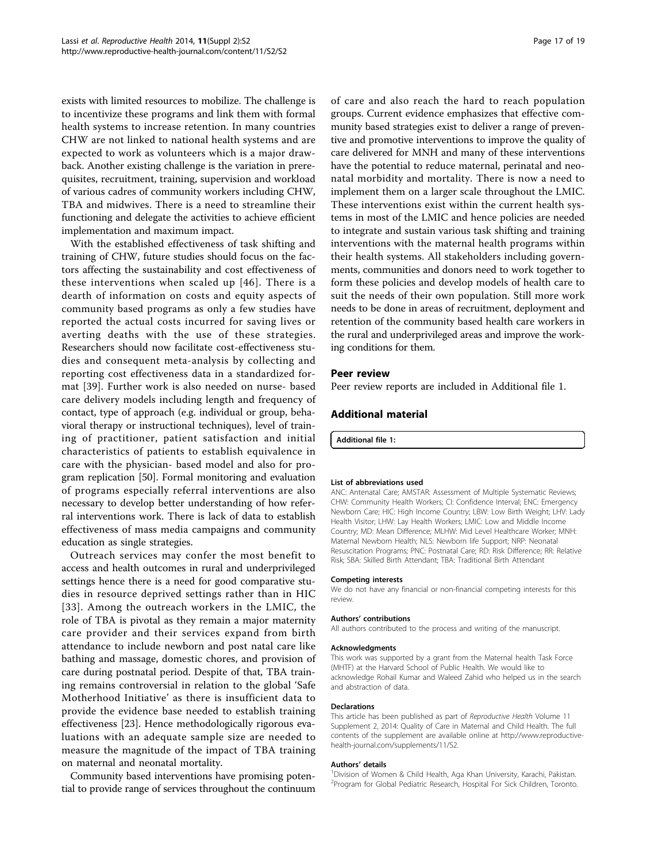exists with limited resources to mobilize. The challenge is to incentivize these programs and link them with formal health systems to increase retention. In many countries CHW are not linked to national health systems and are expected to work as volunteers which is a major drawback. Another existing challenge is the variation in prerequisites, recruitment, training, supervision and workload of various cadres of community workers including CHW, TBA and midwives. There is a need to streamline their functioning and delegate the activities to achieve efficient implementation and maximum impact.

With the established effectiveness of task shifting and training of CHW, future studies should focus on the factors affecting the sustainability and cost effectiveness of these interventions when scaled up [[46\]](#page-18-0). There is a dearth of information on costs and equity aspects of community based programs as only a few studies have reported the actual costs incurred for saving lives or averting deaths with the use of these strategies. Researchers should now facilitate cost-effectiveness studies and consequent meta-analysis by collecting and reporting cost effectiveness data in a standardized format [[39\]](#page-17-0). Further work is also needed on nurse- based care delivery models including length and frequency of contact, type of approach (e.g. individual or group, behavioral therapy or instructional techniques), level of training of practitioner, patient satisfaction and initial characteristics of patients to establish equivalence in care with the physician- based model and also for program replication [[50\]](#page-18-0). Formal monitoring and evaluation of programs especially referral interventions are also necessary to develop better understanding of how referral interventions work. There is lack of data to establish effectiveness of mass media campaigns and community education as single strategies.

Outreach services may confer the most benefit to access and health outcomes in rural and underprivileged settings hence there is a need for good comparative studies in resource deprived settings rather than in HIC [[33\]](#page-17-0). Among the outreach workers in the LMIC, the role of TBA is pivotal as they remain a major maternity care provider and their services expand from birth attendance to include newborn and post natal care like bathing and massage, domestic chores, and provision of care during postnatal period. Despite of that, TBA training remains controversial in relation to the global 'Safe Motherhood Initiative' as there is insufficient data to provide the evidence base needed to establish training effectiveness [[23](#page-17-0)]. Hence methodologically rigorous evaluations with an adequate sample size are needed to measure the magnitude of the impact of TBA training on maternal and neonatal mortality.

Community based interventions have promising potential to provide range of services throughout the continuum of care and also reach the hard to reach population groups. Current evidence emphasizes that effective community based strategies exist to deliver a range of preventive and promotive interventions to improve the quality of care delivered for MNH and many of these interventions have the potential to reduce maternal, perinatal and neonatal morbidity and mortality. There is now a need to implement them on a larger scale throughout the LMIC. These interventions exist within the current health systems in most of the LMIC and hence policies are needed to integrate and sustain various task shifting and training interventions with the maternal health programs within their health systems. All stakeholders including governments, communities and donors need to work together to form these policies and develop models of health care to suit the needs of their own population. Still more work needs to be done in areas of recruitment, deployment and retention of the community based health care workers in the rural and underprivileged areas and improve the working conditions for them.

### Peer review

Peer review reports are included in Additional file 1.

#### Additional material

[Additional file 1:](http://www.biomedcentral.com/content/supplementary/1742-4755-11-S2-S2-S1.pdf)

#### List of abbreviations used

ANC: Antenatal Care; AMSTAR: Assessment of Multiple Systematic Reviews; CHW: Community Health Workers; CI: Confidence Interval; ENC: Emergency Newborn Care; HIC: High Income Country; LBW: Low Birth Weight; LHV: Lady Health Visitor; LHW: Lay Health Workers; LMIC: Low and Middle Income Country; MD: Mean Difference; MLHW: Mid Level Healthcare Worker; MNH: Maternal Newborn Health; NLS: Newborn life Support; NRP: Neonatal Resuscitation Programs; PNC: Postnatal Care; RD: Risk Difference; RR: Relative Risk; SBA: Skilled Birth Attendant; TBA: Traditional Birth Attendant

#### Competing interests

We do not have any financial or non-financial competing interests for this review.

#### Authors' contributions

All authors contributed to the process and writing of the manuscript.

#### Acknowledgments

This work was supported by a grant from the Maternal health Task Force (MHTF) at the Harvard School of Public Health. We would like to acknowledge Rohail Kumar and Waleed Zahid who helped us in the search and abstraction of data.

#### Declarations

This article has been published as part of Reproductive Health Volume 11 Supplement 2, 2014: Quality of Care in Maternal and Child Health. The full contents of the supplement are available online at [http://www.reproductive](http://www.reproductive-health-journal.com/supplements/11/S2)[health-journal.com/supplements/11/S2](http://www.reproductive-health-journal.com/supplements/11/S2).

#### Authors' details <sup>1</sup>

<sup>1</sup> Division of Women & Child Health, Aga Khan University, Karachi, Pakistan. <sup>2</sup>Program for Global Pediatric Research, Hospital For Sick Children, Toronto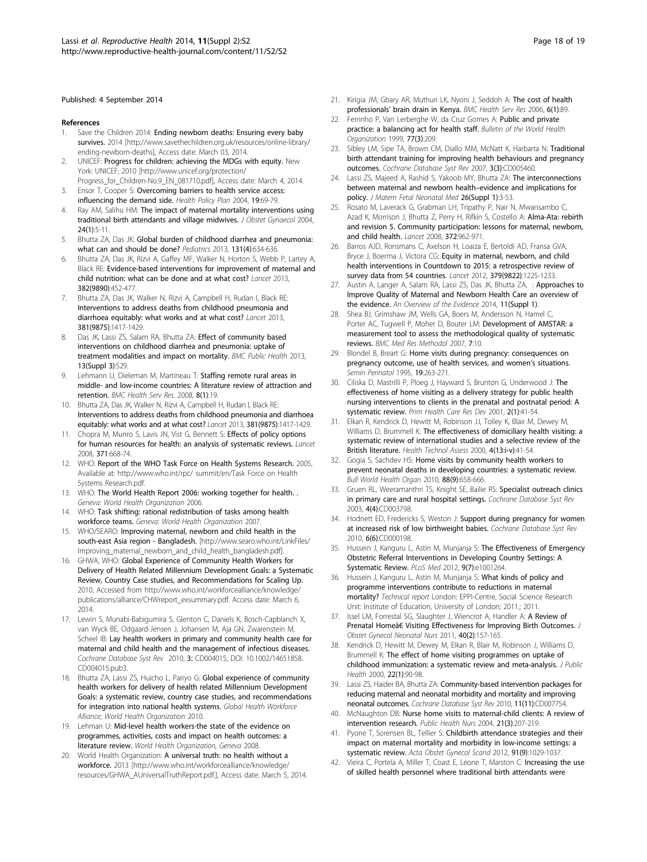#### <span id="page-17-0"></span>Published: 4 September 2014

#### References

- 1. Save the Children 2014: Ending newborn deaths: Ensuring every baby survives. 2014 [[http://www.savethechildren.org.uk/resources/online-library/](http://www.savethechildren.org.uk/resources/online-library/ending-newborn-deaths) [ending-newborn-deaths\]](http://www.savethechildren.org.uk/resources/online-library/ending-newborn-deaths), Access date: March 03, 2014.
- 2. UNICEF: Progress for children: achieving the MDGs with equity. New York: UNICEF; 2010 [[http://www.unicef.org/protection/](http://www.unicef.org/protection/Progress_for_Children-No.9_EN_081710.pdf)
- [Progress\\_for\\_Children-No.9\\_EN\\_081710.pdf\]](http://www.unicef.org/protection/Progress_for_Children-No.9_EN_081710.pdf), Access date: March 4, 2014. 3. Ensor T, Cooper S: [Overcoming barriers to health service access:](http://www.ncbi.nlm.nih.gov/pubmed/14982885?dopt=Abstract) [influencing the demand side.](http://www.ncbi.nlm.nih.gov/pubmed/14982885?dopt=Abstract) Health Policy Plan 2004, 19:69-79.
- 4. Ray AM, Salihu HM: [The impact of maternal mortality interventions using](http://www.ncbi.nlm.nih.gov/pubmed/14675972?dopt=Abstract) [traditional birth attendants and village midwives.](http://www.ncbi.nlm.nih.gov/pubmed/14675972?dopt=Abstract) J Obstet Gynaecol 2004, 24(1):5-11.
- 5. Bhutta ZA, Das JK: [Global burden of childhood diarrhea and pneumonia:](http://www.ncbi.nlm.nih.gov/pubmed/23509166?dopt=Abstract) [what can and should be done?](http://www.ncbi.nlm.nih.gov/pubmed/23509166?dopt=Abstract) Pediatrics 2013, 131(4):634-636.
- 6. Bhutta ZA, Das JK, Rizvi A, Gaffey MF, Walker N, Horton S, Webb P, Lartey A, Black RE: [Evidence-based interventions for improvement of maternal and](http://www.ncbi.nlm.nih.gov/pubmed/23746776?dopt=Abstract) [child nutrition: what can be done and at what cost?](http://www.ncbi.nlm.nih.gov/pubmed/23746776?dopt=Abstract) Lancet 2013, 382(9890):452-477.
- 7. Bhutta ZA, Das JK, Walker N, Rizvi A, Campbell H, Rudan I, Black RE: [Interventions to address deaths from childhood pneumonia and](http://www.ncbi.nlm.nih.gov/pubmed/23582723?dopt=Abstract) [diarrhoea equitably: what works and at what cost?](http://www.ncbi.nlm.nih.gov/pubmed/23582723?dopt=Abstract) Lancet 2013, 381(9875):1417-1429.
- 8. Das JK, Lassi ZS, Salam RA, Bhutta ZA: [Effect of community based](http://www.ncbi.nlm.nih.gov/pubmed/24564451?dopt=Abstract) [interventions on childhood diarrhea and pneumonia: uptake of](http://www.ncbi.nlm.nih.gov/pubmed/24564451?dopt=Abstract) [treatment modalities and impact on mortality.](http://www.ncbi.nlm.nih.gov/pubmed/24564451?dopt=Abstract) BMC Public Health 2013, 13(Suppl 3):S29.
- Lehmann U, Dieleman M, Martineau T: [Staffing remote rural areas in](http://www.ncbi.nlm.nih.gov/pubmed/18215313?dopt=Abstract) [middle- and low-income countries: A literature review of attraction and](http://www.ncbi.nlm.nih.gov/pubmed/18215313?dopt=Abstract) [retention.](http://www.ncbi.nlm.nih.gov/pubmed/18215313?dopt=Abstract) BMC Health Serv Res. 2008, 8(1):19.
- 10. Bhutta ZA, Das JK, Walker N, Rizvi A, Campbell H, Rudan I, Black RE: [Interventions to address deaths from childhood pneumonia and diarrhoea](http://www.ncbi.nlm.nih.gov/pubmed/23582723?dopt=Abstract) [equitably: what works and at what cost?](http://www.ncbi.nlm.nih.gov/pubmed/23582723?dopt=Abstract) Lancet 2013, 381(9875):1417-1429.
- 11. Chopra M, Munro S, Lavis JN, Vist G, Bennett S: [Effects of policy options](http://www.ncbi.nlm.nih.gov/pubmed/18295024?dopt=Abstract) [for human resources for health: an analysis of systematic reviews.](http://www.ncbi.nlm.nih.gov/pubmed/18295024?dopt=Abstract) Lancet 2008, 371:668-74.
- 12. WHO: Report of the WHO Task Force on Health Systems Research. 2005, Available at: http://www.who.int/rpc/ summit/en/Task Force on Health Systems Research.pdf.
- 13. WHO: The World Health Report 2006: working together for health. . Geneva: World Health Organization 2006.
- 14. WHO: Task shifting: rational redistribution of tasks among health workforce teams. Geneva: World Health Organization 2007.
- 15. WHO/SEARO: Improving maternal, newborn and child health in the south-east Asia region - Bangladesh. [\[http://www.searo.who.int/LinkFiles/](http://www.searo.who.int/LinkFiles/Improving_maternal_newborn_and_child_health_bangladesh.pdf) [Improving\\_maternal\\_newborn\\_and\\_child\\_health\\_bangladesh.pdf\]](http://www.searo.who.int/LinkFiles/Improving_maternal_newborn_and_child_health_bangladesh.pdf).
- 16. GHWA, WHO: Global Experience of Community Health Workers for Delivery of Health Related Millennium Development Goals: a Systematic Review, Country Case studies, and Recommendations for Scaling Up. 2010, Accessed from http://www.who.int/workforcealliance/knowledge/ publications/alliance/CHWreport\_exsummary.pdf. Access date: March 6, 2014.
- 17. Lewin S, Munabi-Babigumira S, Glenton C, Daniels K, Bosch-Capblanch X, van Wyck BE, Odgaard-Jensen J, Johansen M, Aja GN, Zwarenstein M, Scheel IB: Lay health workers in primary and community health care for maternal and child health and the management of infectious diseases. Cochrane Database Syst Rev 2010, 3: CD004015, DOI: 10.1002/14651858. CD004015.pub3.
- 18. Bhutta ZA, Lassi ZS, Huicho L, Pariyo G: Global experience of community health workers for delivery of health related Millennium Development Goals: a systematic review, country case studies, and recommendations for integration into national health systems. Global Health Workforce Alliance; World Health Organization 2010.
- 19. Lehman U: Mid-level health workers-the state of the evidence on programmes, activities, costs and impact on health outcomes: a literature review. World Health Organization, Geneva 2008.
- 20. World Health Organization: A universal truth: no health without a workforce. 2013 [[http://www.who.int/workforcealliance/knowledge/](http://www.who.int/workforcealliance/knowledge/resources/GHWA_AUniversalTruthReport.pdf.) [resources/GHWA\\_AUniversalTruthReport.pdf.](http://www.who.int/workforcealliance/knowledge/resources/GHWA_AUniversalTruthReport.pdf.)], Access date: March 5, 2014.
- 21. Kirigia JM, Gbary AR, Muthuri LK, Nyoni J, Seddoh A: [The cost of health](http://www.ncbi.nlm.nih.gov/pubmed/16846492?dopt=Abstract) professionals' [brain drain in Kenya.](http://www.ncbi.nlm.nih.gov/pubmed/16846492?dopt=Abstract) BMC Health Serv Res 2006, 6(1):89.
- 22. Ferrinho P, Van Lerberghe W, da Cruz Gomes A: [Public and private](http://www.ncbi.nlm.nih.gov/pubmed/10212509?dopt=Abstract) [practice: a balancing act for health staff.](http://www.ncbi.nlm.nih.gov/pubmed/10212509?dopt=Abstract) Bulletin of the World Health Organization 1999, 77(3):209.
- 23. Sibley LM, Sipe TA, Brown CM, Diallo MM, McNatt K, Harbarta N: [Traditional](http://www.ncbi.nlm.nih.gov/pubmed/17636799?dopt=Abstract) [birth attendant training for improving health behaviours and pregnancy](http://www.ncbi.nlm.nih.gov/pubmed/17636799?dopt=Abstract) [outcomes.](http://www.ncbi.nlm.nih.gov/pubmed/17636799?dopt=Abstract) Cochrane Database Syst Rev 2007, 3(3):CD005460.
- Lassi ZS, Majeed A, Rashid S, Yakoob MY, Bhutta ZA: The interconnections between maternal and newborn health–evidence and implications for policy. J Matern Fetal Neonatal Med 26(Suppl 1):3-53.
- 25. Rosato M, Laverack G, Grabman LH, Tripathy P, Nair N, Mwansambo C, Azad K, Morrison J, Bhutta Z, Perry H, Rifkin S, Costello A: [Alma-Ata: rebirth](http://www.ncbi.nlm.nih.gov/pubmed/18790319?dopt=Abstract) [and revision 5. Community participation: lessons for maternal, newborn,](http://www.ncbi.nlm.nih.gov/pubmed/18790319?dopt=Abstract) [and child health.](http://www.ncbi.nlm.nih.gov/pubmed/18790319?dopt=Abstract) Lancet 2008, 372:962-971.
- 26. Barros AJD, Ronsmans C, Axelson H, Loaiza E, Bertoldi AD, Fransa GVA, Bryce J, Boerma J, Victora CG: [Equity in maternal, newborn, and child](http://www.ncbi.nlm.nih.gov/pubmed/22464386?dopt=Abstract) [health interventions in Countdown to 2015: a retrospective review of](http://www.ncbi.nlm.nih.gov/pubmed/22464386?dopt=Abstract) [survey data from 54 countries.](http://www.ncbi.nlm.nih.gov/pubmed/22464386?dopt=Abstract) Lancet 2012, 379(9822):1225-1233.
- 27. Austin A, Langer A, Salam RA, Lassi ZS, Das JK, Bhutta ZA, : Approaches to Improve Quality of Maternal and Newborn Health Care an overview of the evidence. An Overview of the Evidence 2014, 11(Suppl 1).
- 28. Shea BJ, Grimshaw JM, Wells GA, Boers M, Andersson N, Hamel C, Porter AC, Tugwell P, Moher D, Bouter LM: [Development of AMSTAR: a](http://www.ncbi.nlm.nih.gov/pubmed/17302989?dopt=Abstract) [measurement tool to assess the methodological quality of systematic](http://www.ncbi.nlm.nih.gov/pubmed/17302989?dopt=Abstract) [reviews.](http://www.ncbi.nlm.nih.gov/pubmed/17302989?dopt=Abstract) BMC Med Res Methodol 2007, 7:10.
- Blondel B, Breart G: [Home visits during pregnancy: consequences on](http://www.ncbi.nlm.nih.gov/pubmed/8560291?dopt=Abstract) [pregnancy outcome, use of health services, and women](http://www.ncbi.nlm.nih.gov/pubmed/8560291?dopt=Abstract)'s situations. Semin Perinatol 1995, 19:263-271.
- 30. Ciliska D, Mastrilli P, Ploeg J, Hayward S, Brunton G, Underwood J: The effectiveness of home visiting as a delivery strategy for public health nursing interventions to clients in the prenatal and postnatal period: A systematic review. Prim Health Care Res Dev 2001, 2(1):41-54.
- 31. Elkan R, Kendrick D, Hewitt M, Robinson JJ, Tolley K, Blair M, Dewey M, Williams D, Brummell K: The effectiveness of domiciliary health visiting: a systematic review of international studies and a selective review of the British literature. Health Technol Assess 2000, 4(13:i-v):41-54.
- 32. Gogia S, Sachdev HS: [Home visits by community health workers to](http://www.ncbi.nlm.nih.gov/pubmed/20865070?dopt=Abstract) [prevent neonatal deaths in developing countries: a systematic review.](http://www.ncbi.nlm.nih.gov/pubmed/20865070?dopt=Abstract) Bull World Health Organ 2010, 88(9):658-666.
- 33. Gruen RL, Weeramanthri TS, Knight SE, Bailie RS: Specialist outreach clinics in primary care and rural hospital settings. Cochrane Database Syst Rev 2003, 4(4):CD003798.
- 34. Hodnett ED, Fredericks S, Weston J: [Support during pregnancy for women](http://www.ncbi.nlm.nih.gov/pubmed/20556746?dopt=Abstract) [at increased risk of low birthweight babies.](http://www.ncbi.nlm.nih.gov/pubmed/20556746?dopt=Abstract) Cochrane Database Syst Rev 2010, 6(6):CD000198.
- 35. Hussein J, Kanguru L, Astin M, Munjanja S: [The Effectiveness of Emergency](http://www.ncbi.nlm.nih.gov/pubmed/22807658?dopt=Abstract) [Obstetric Referral Interventions in Developing Country Settings: A](http://www.ncbi.nlm.nih.gov/pubmed/22807658?dopt=Abstract) [Systematic Review.](http://www.ncbi.nlm.nih.gov/pubmed/22807658?dopt=Abstract) PLoS Med 2012, 9(7):e1001264.
- 36. Hussein J, Kanguru L, Astin M, Munjanja S: What kinds of policy and programme interventions contribute to reductions in maternal mortality? Technical report London: EPPI-Centre, Social Science Research Unit: Institute of Education, University of London; 2011.; 2011.
- 37. Issel LM, Forrestal SG, Slaughter J, Wiencrot A, Handler A: [A Review of](http://www.ncbi.nlm.nih.gov/pubmed/21314710?dopt=Abstract) Prenatal Homeâ€ [Visiting Effectiveness for Improving Birth Outcomes.](http://www.ncbi.nlm.nih.gov/pubmed/21314710?dopt=Abstract) J Obstet Gynecol Neonatal Nurs 2011, 40(2):157-165.
- 38. Kendrick D, Hewitt M, Dewey M, Elkan R, Blair M, Robinson J, Williams D, Brummell K: The effect of home visiting programmes on uptake of childhood immunization: a systematic review and meta-analysis. J Public Health 2000, 22(1):90-98.
- 39. Lassi ZS, Haider BA, Bhutta ZA: [Community-based intervention packages for](http://www.ncbi.nlm.nih.gov/pubmed/21069697?dopt=Abstract) [reducing maternal and neonatal morbidity and mortality and improving](http://www.ncbi.nlm.nih.gov/pubmed/21069697?dopt=Abstract) [neonatal outcomes.](http://www.ncbi.nlm.nih.gov/pubmed/21069697?dopt=Abstract) Cochrane Database Syst Rev 2010, 11(11):CD007754.
- 40. McNaughton DB: [Nurse home visits to maternal-child clients: A review of](http://www.ncbi.nlm.nih.gov/pubmed/15144365?dopt=Abstract) [intervention research.](http://www.ncbi.nlm.nih.gov/pubmed/15144365?dopt=Abstract) Public Health Nurs 2004, 21(3):207-219.
- 41. Pyone T, Sorensen BL, Tellier S: [Childbirth attendance strategies and their](http://www.ncbi.nlm.nih.gov/pubmed/22583081?dopt=Abstract) [impact on maternal mortality and morbidity in low-income settings: a](http://www.ncbi.nlm.nih.gov/pubmed/22583081?dopt=Abstract) [systematic review.](http://www.ncbi.nlm.nih.gov/pubmed/22583081?dopt=Abstract) Acta Obstet Gynecol Scand 2012, 91(9):1029-1037.
- 42. Vieira C, Portela A, Miller T, Coast E, Leone T, Marston C: [Increasing the use](http://www.ncbi.nlm.nih.gov/pubmed/23110138?dopt=Abstract) [of skilled health personnel where traditional birth attendants were](http://www.ncbi.nlm.nih.gov/pubmed/23110138?dopt=Abstract)